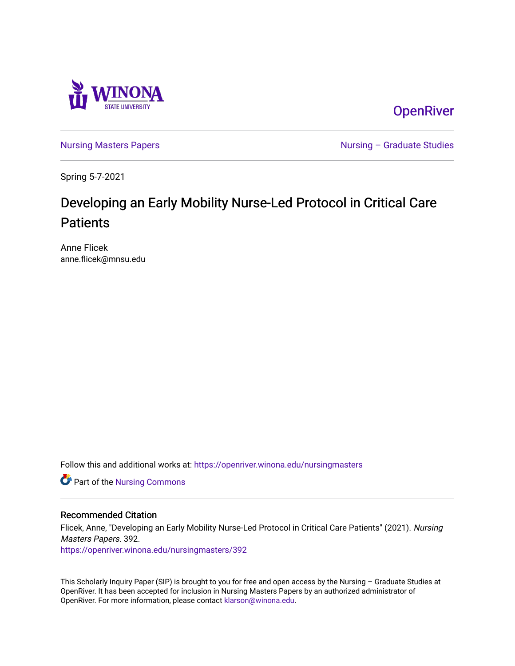

**OpenRiver** 

[Nursing Masters Papers](https://openriver.winona.edu/nursingmasters) **Nursing – Graduate Studies** 

Spring 5-7-2021

# Developing an Early Mobility Nurse-Led Protocol in Critical Care **Patients**

Anne Flicek anne.flicek@mnsu.edu

Follow this and additional works at: [https://openriver.winona.edu/nursingmasters](https://openriver.winona.edu/nursingmasters?utm_source=openriver.winona.edu%2Fnursingmasters%2F392&utm_medium=PDF&utm_campaign=PDFCoverPages) 

Part of the [Nursing Commons](http://network.bepress.com/hgg/discipline/718?utm_source=openriver.winona.edu%2Fnursingmasters%2F392&utm_medium=PDF&utm_campaign=PDFCoverPages) 

#### Recommended Citation

Flicek, Anne, "Developing an Early Mobility Nurse-Led Protocol in Critical Care Patients" (2021). Nursing Masters Papers. 392.

[https://openriver.winona.edu/nursingmasters/392](https://openriver.winona.edu/nursingmasters/392?utm_source=openriver.winona.edu%2Fnursingmasters%2F392&utm_medium=PDF&utm_campaign=PDFCoverPages) 

This Scholarly Inquiry Paper (SIP) is brought to you for free and open access by the Nursing – Graduate Studies at OpenRiver. It has been accepted for inclusion in Nursing Masters Papers by an authorized administrator of OpenRiver. For more information, please contact [klarson@winona.edu](mailto:klarson@winona.edu).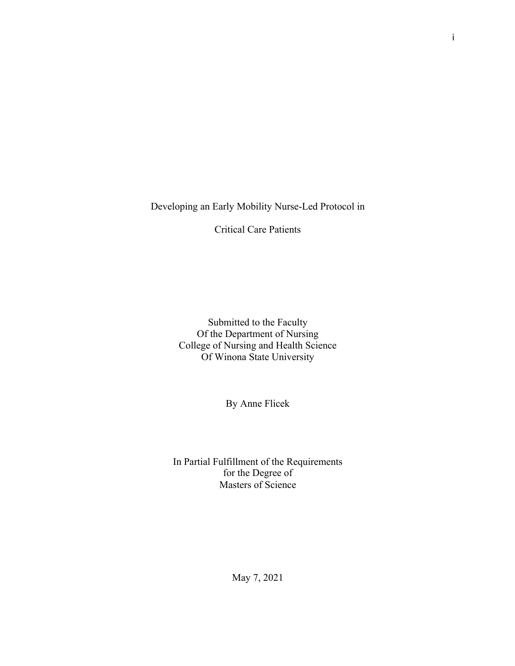Developing an Early Mobility Nurse-Led Protocol in

Critical Care Patients

Submitted to the Faculty Of the Department of Nursing College of Nursing and Health Science Of Winona State University

By Anne Flicek

In Partial Fulfillment of the Requirements for the Degree of Masters of Science

i

May 7, 2021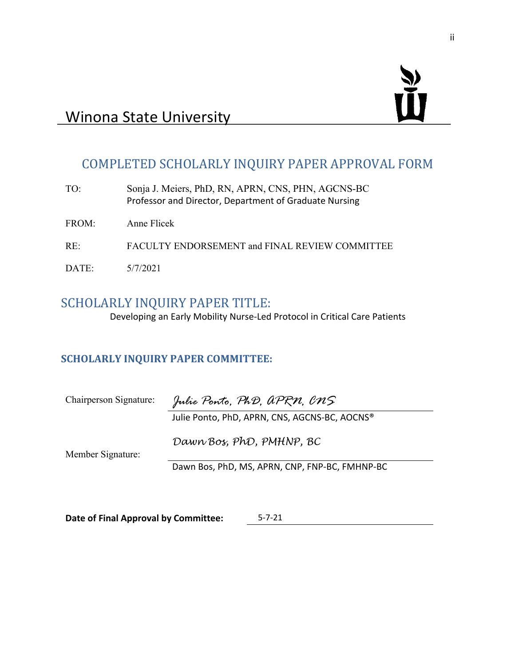

# COMPLETED SCHOLARLY INQUIRY PAPER APPROVAL FORM

| TO:   | Sonja J. Meiers, PhD, RN, APRN, CNS, PHN, AGCNS-BC<br>Professor and Director, Department of Graduate Nursing |
|-------|--------------------------------------------------------------------------------------------------------------|
| FROM: | Anne Flicek                                                                                                  |
| RE:   | FACULTY ENDORSEMENT and FINAL REVIEW COMMITTEE                                                               |
| DATE: | 5/7/2021                                                                                                     |

# SCHOLARLY INQUIRY PAPER TITLE:

Developing an Early Mobility Nurse-Led Protocol in Critical Care Patients

## **SCHOLARLY INQUIRY PAPER COMMITTEE:**

| Chairperson Signature: | Julie Ponto, PhD, aPRN, CNS                    |
|------------------------|------------------------------------------------|
|                        | Julie Ponto, PhD, APRN, CNS, AGCNS-BC, AOCNS®  |
| Member Signature:      | Dawn Bos, PhD, PMHNP, BC                       |
|                        | Dawn Bos, PhD, MS, APRN, CNP, FNP-BC, FMHNP-BC |

**Date of Final Approval by Committee:** 5-7-21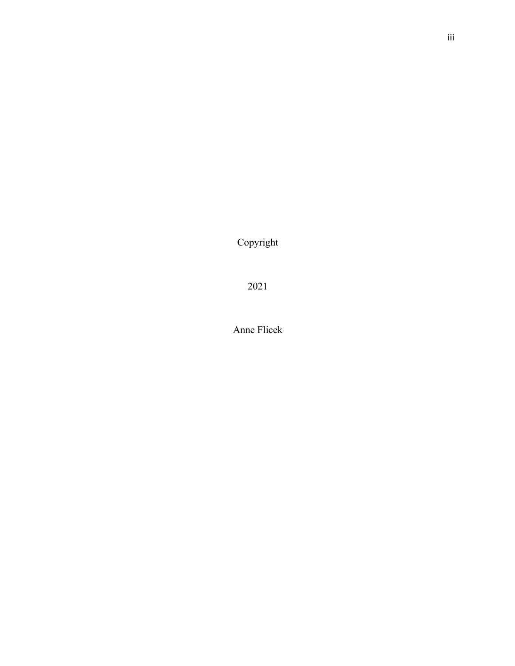Copyright

2021

Anne Flicek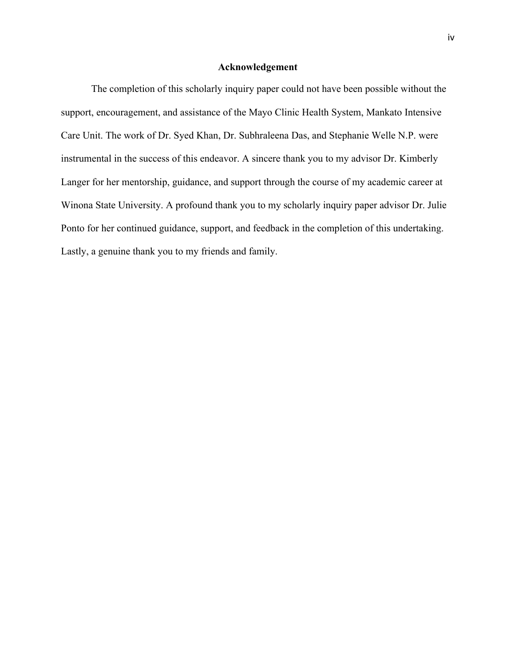#### **Acknowledgement**

The completion of this scholarly inquiry paper could not have been possible without the support, encouragement, and assistance of the Mayo Clinic Health System, Mankato Intensive Care Unit. The work of Dr. Syed Khan, Dr. Subhraleena Das, and Stephanie Welle N.P. were instrumental in the success of this endeavor. A sincere thank you to my advisor Dr. Kimberly Langer for her mentorship, guidance, and support through the course of my academic career at Winona State University. A profound thank you to my scholarly inquiry paper advisor Dr. Julie Ponto for her continued guidance, support, and feedback in the completion of this undertaking. Lastly, a genuine thank you to my friends and family.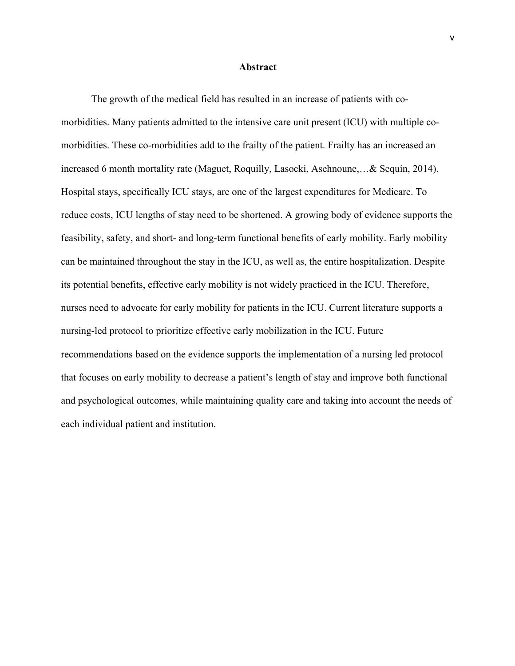#### **Abstract**

The growth of the medical field has resulted in an increase of patients with comorbidities. Many patients admitted to the intensive care unit present (ICU) with multiple comorbidities. These co-morbidities add to the frailty of the patient. Frailty has an increased an increased 6 month mortality rate (Maguet, Roquilly, Lasocki, Asehnoune,…& Sequin, 2014). Hospital stays, specifically ICU stays, are one of the largest expenditures for Medicare. To reduce costs, ICU lengths of stay need to be shortened. A growing body of evidence supports the feasibility, safety, and short- and long-term functional benefits of early mobility. Early mobility can be maintained throughout the stay in the ICU, as well as, the entire hospitalization. Despite its potential benefits, effective early mobility is not widely practiced in the ICU. Therefore, nurses need to advocate for early mobility for patients in the ICU. Current literature supports a nursing-led protocol to prioritize effective early mobilization in the ICU. Future recommendations based on the evidence supports the implementation of a nursing led protocol that focuses on early mobility to decrease a patient's length of stay and improve both functional and psychological outcomes, while maintaining quality care and taking into account the needs of each individual patient and institution.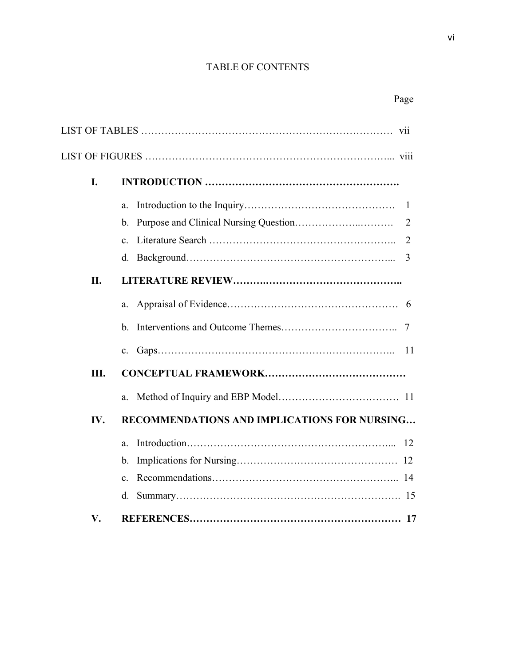## TABLE OF CONTENTS

|  |  | ٧I |
|--|--|----|
|  |  |    |

# Page

| I.  |                                              |
|-----|----------------------------------------------|
|     | $a_{\cdot}$                                  |
|     | $\mathbf{b}$ .                               |
|     | $\mathbf{c}$ .                               |
|     | 3<br>d.                                      |
| II. |                                              |
|     | a.                                           |
|     | $h_{-}$                                      |
|     | $\mathbf{c}$ .                               |
| Ш.  |                                              |
|     | a.                                           |
| IV. | RECOMMENDATIONS AND IMPLICATIONS FOR NURSING |
|     | a.                                           |
|     | $\mathbf b$ .                                |
|     | $\mathbf{c}$ .                               |
|     | d.                                           |
| V.  |                                              |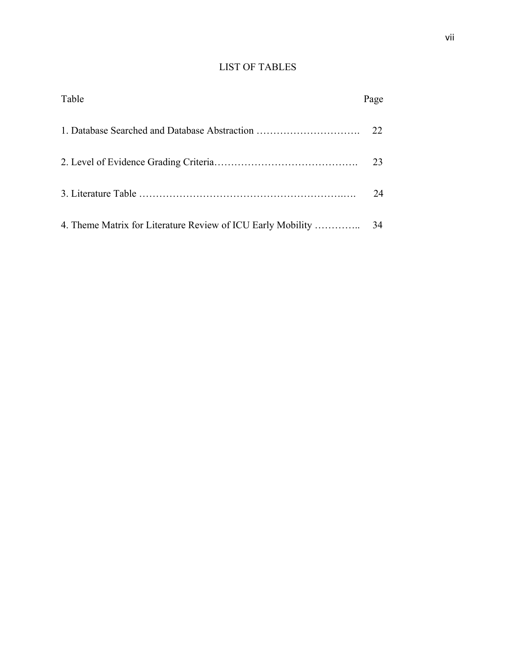### LIST OF TABLES

| Table | Page |
|-------|------|
|       |      |
|       |      |
|       | 24   |
|       |      |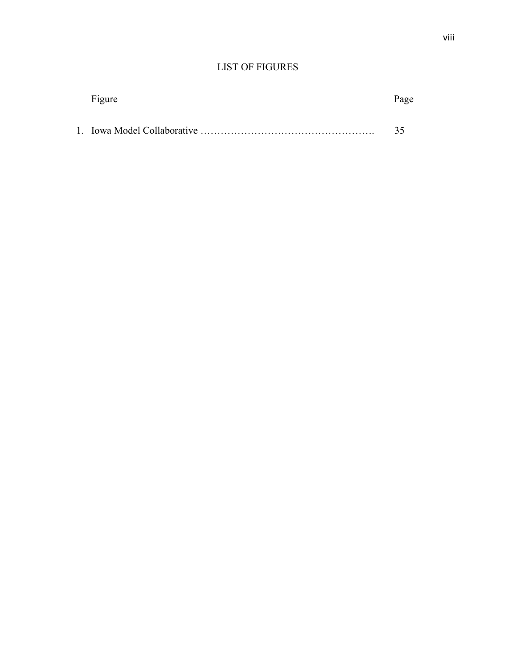## LIST OF FIGURES

| Figure | Page |
|--------|------|
|        | 35   |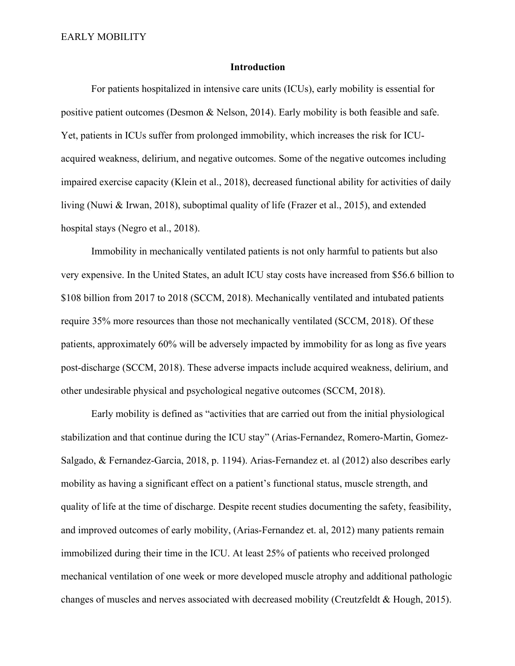#### **Introduction**

For patients hospitalized in intensive care units (ICUs), early mobility is essential for positive patient outcomes (Desmon & Nelson, 2014). Early mobility is both feasible and safe. Yet, patients in ICUs suffer from prolonged immobility, which increases the risk for ICUacquired weakness, delirium, and negative outcomes. Some of the negative outcomes including impaired exercise capacity (Klein et al., 2018), decreased functional ability for activities of daily living (Nuwi & Irwan, 2018), suboptimal quality of life (Frazer et al., 2015), and extended hospital stays (Negro et al., 2018).

Immobility in mechanically ventilated patients is not only harmful to patients but also very expensive. In the United States, an adult ICU stay costs have increased from \$56.6 billion to \$108 billion from 2017 to 2018 (SCCM, 2018). Mechanically ventilated and intubated patients require 35% more resources than those not mechanically ventilated (SCCM, 2018). Of these patients, approximately 60% will be adversely impacted by immobility for as long as five years post-discharge (SCCM, 2018). These adverse impacts include acquired weakness, delirium, and other undesirable physical and psychological negative outcomes (SCCM, 2018).

Early mobility is defined as "activities that are carried out from the initial physiological stabilization and that continue during the ICU stay" (Arias-Fernandez, Romero-Martin, Gomez-Salgado, & Fernandez-Garcia, 2018, p. 1194). Arias-Fernandez et. al (2012) also describes early mobility as having a significant effect on a patient's functional status, muscle strength, and quality of life at the time of discharge. Despite recent studies documenting the safety, feasibility, and improved outcomes of early mobility, (Arias-Fernandez et. al, 2012) many patients remain immobilized during their time in the ICU. At least 25% of patients who received prolonged mechanical ventilation of one week or more developed muscle atrophy and additional pathologic changes of muscles and nerves associated with decreased mobility (Creutzfeldt & Hough, 2015).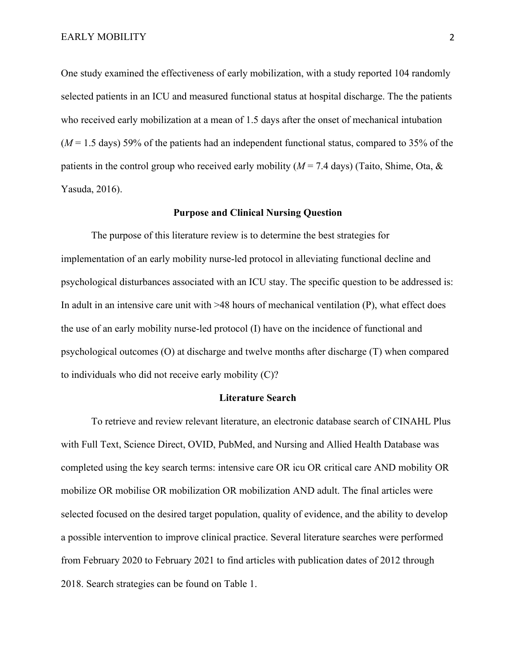One study examined the effectiveness of early mobilization, with a study reported 104 randomly selected patients in an ICU and measured functional status at hospital discharge. The the patients who received early mobilization at a mean of 1.5 days after the onset of mechanical intubation (*M* = 1.5 days) 59% of the patients had an independent functional status, compared to 35% of the patients in the control group who received early mobility ( $M = 7.4$  days) (Taito, Shime, Ota, & Yasuda, 2016).

#### **Purpose and Clinical Nursing Question**

The purpose of this literature review is to determine the best strategies for implementation of an early mobility nurse-led protocol in alleviating functional decline and psychological disturbances associated with an ICU stay. The specific question to be addressed is: In adult in an intensive care unit with >48 hours of mechanical ventilation (P), what effect does the use of an early mobility nurse-led protocol (I) have on the incidence of functional and psychological outcomes (O) at discharge and twelve months after discharge (T) when compared to individuals who did not receive early mobility (C)?

#### **Literature Search**

To retrieve and review relevant literature, an electronic database search of CINAHL Plus with Full Text, Science Direct, OVID, PubMed, and Nursing and Allied Health Database was completed using the key search terms: intensive care OR icu OR critical care AND mobility OR mobilize OR mobilise OR mobilization OR mobilization AND adult. The final articles were selected focused on the desired target population, quality of evidence, and the ability to develop a possible intervention to improve clinical practice. Several literature searches were performed from February 2020 to February 2021 to find articles with publication dates of 2012 through 2018. Search strategies can be found on Table 1.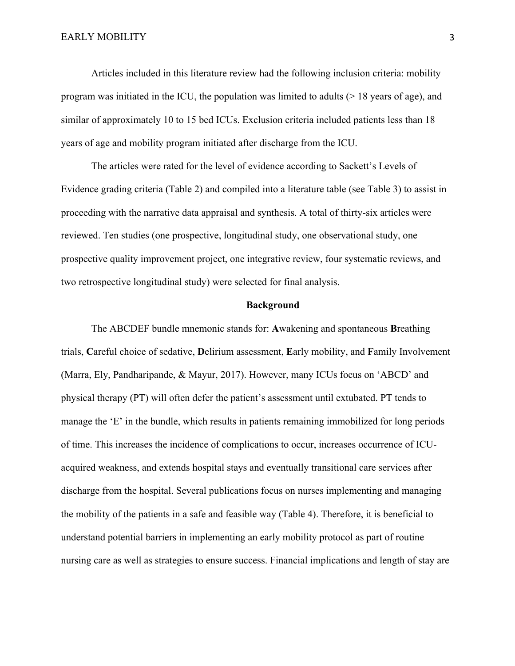Articles included in this literature review had the following inclusion criteria: mobility program was initiated in the ICU, the population was limited to adults  $( \geq 18 \text{ years of age})$ , and similar of approximately 10 to 15 bed ICUs. Exclusion criteria included patients less than 18 years of age and mobility program initiated after discharge from the ICU.

The articles were rated for the level of evidence according to Sackett's Levels of Evidence grading criteria (Table 2) and compiled into a literature table (see Table 3) to assist in proceeding with the narrative data appraisal and synthesis. A total of thirty-six articles were reviewed. Ten studies (one prospective, longitudinal study, one observational study, one prospective quality improvement project, one integrative review, four systematic reviews, and two retrospective longitudinal study) were selected for final analysis.

#### **Background**

The ABCDEF bundle mnemonic stands for: **A**wakening and spontaneous **B**reathing trials, **C**areful choice of sedative, **D**elirium assessment, **E**arly mobility, and **F**amily Involvement (Marra, Ely, Pandharipande, & Mayur, 2017). However, many ICUs focus on 'ABCD' and physical therapy (PT) will often defer the patient's assessment until extubated. PT tends to manage the 'E' in the bundle, which results in patients remaining immobilized for long periods of time. This increases the incidence of complications to occur, increases occurrence of ICUacquired weakness, and extends hospital stays and eventually transitional care services after discharge from the hospital. Several publications focus on nurses implementing and managing the mobility of the patients in a safe and feasible way (Table 4). Therefore, it is beneficial to understand potential barriers in implementing an early mobility protocol as part of routine nursing care as well as strategies to ensure success. Financial implications and length of stay are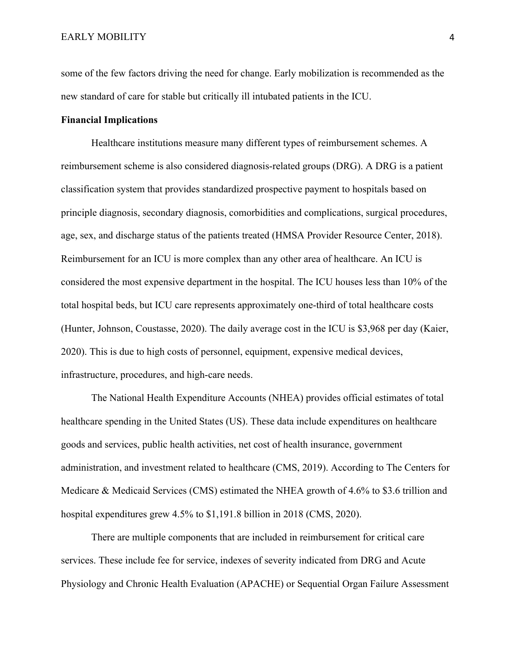some of the few factors driving the need for change. Early mobilization is recommended as the new standard of care for stable but critically ill intubated patients in the ICU.

#### **Financial Implications**

Healthcare institutions measure many different types of reimbursement schemes. A reimbursement scheme is also considered diagnosis-related groups (DRG). A DRG is a patient classification system that provides standardized prospective payment to hospitals based on principle diagnosis, secondary diagnosis, comorbidities and complications, surgical procedures, age, sex, and discharge status of the patients treated (HMSA Provider Resource Center, 2018). Reimbursement for an ICU is more complex than any other area of healthcare. An ICU is considered the most expensive department in the hospital. The ICU houses less than 10% of the total hospital beds, but ICU care represents approximately one-third of total healthcare costs (Hunter, Johnson, Coustasse, 2020). The daily average cost in the ICU is \$3,968 per day (Kaier, 2020). This is due to high costs of personnel, equipment, expensive medical devices, infrastructure, procedures, and high-care needs.

The National Health Expenditure Accounts (NHEA) provides official estimates of total healthcare spending in the United States (US). These data include expenditures on healthcare goods and services, public health activities, net cost of health insurance, government administration, and investment related to healthcare (CMS, 2019). According to The Centers for Medicare & Medicaid Services (CMS) estimated the NHEA growth of 4.6% to \$3.6 trillion and hospital expenditures grew 4.5% to \$1,191.8 billion in 2018 (CMS, 2020).

There are multiple components that are included in reimbursement for critical care services. These include fee for service, indexes of severity indicated from DRG and Acute Physiology and Chronic Health Evaluation (APACHE) or Sequential Organ Failure Assessment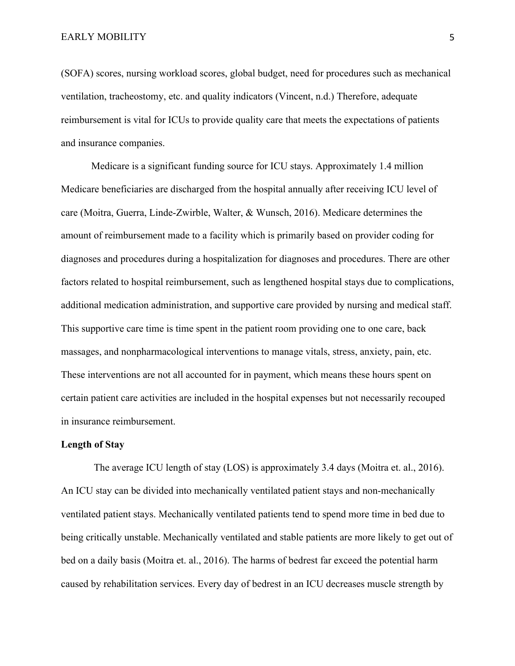(SOFA) scores, nursing workload scores, global budget, need for procedures such as mechanical ventilation, tracheostomy, etc. and quality indicators (Vincent, n.d.) Therefore, adequate reimbursement is vital for ICUs to provide quality care that meets the expectations of patients and insurance companies.

Medicare is a significant funding source for ICU stays. Approximately 1.4 million Medicare beneficiaries are discharged from the hospital annually after receiving ICU level of care (Moitra, Guerra, Linde-Zwirble, Walter, & Wunsch, 2016). Medicare determines the amount of reimbursement made to a facility which is primarily based on provider coding for diagnoses and procedures during a hospitalization for diagnoses and procedures. There are other factors related to hospital reimbursement, such as lengthened hospital stays due to complications, additional medication administration, and supportive care provided by nursing and medical staff. This supportive care time is time spent in the patient room providing one to one care, back massages, and nonpharmacological interventions to manage vitals, stress, anxiety, pain, etc. These interventions are not all accounted for in payment, which means these hours spent on certain patient care activities are included in the hospital expenses but not necessarily recouped in insurance reimbursement.

#### **Length of Stay**

The average ICU length of stay (LOS) is approximately 3.4 days (Moitra et. al., 2016). An ICU stay can be divided into mechanically ventilated patient stays and non-mechanically ventilated patient stays. Mechanically ventilated patients tend to spend more time in bed due to being critically unstable. Mechanically ventilated and stable patients are more likely to get out of bed on a daily basis (Moitra et. al., 2016). The harms of bedrest far exceed the potential harm caused by rehabilitation services. Every day of bedrest in an ICU decreases muscle strength by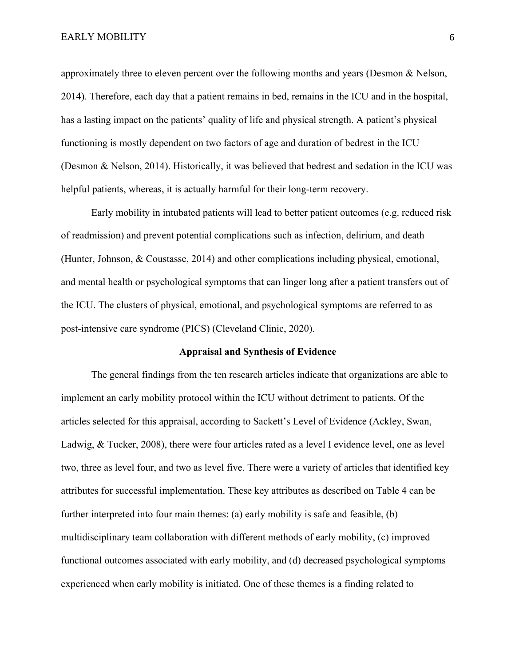approximately three to eleven percent over the following months and years (Desmon & Nelson, 2014). Therefore, each day that a patient remains in bed, remains in the ICU and in the hospital, has a lasting impact on the patients' quality of life and physical strength. A patient's physical functioning is mostly dependent on two factors of age and duration of bedrest in the ICU (Desmon & Nelson, 2014). Historically, it was believed that bedrest and sedation in the ICU was helpful patients, whereas, it is actually harmful for their long-term recovery.

Early mobility in intubated patients will lead to better patient outcomes (e.g. reduced risk of readmission) and prevent potential complications such as infection, delirium, and death (Hunter, Johnson, & Coustasse, 2014) and other complications including physical, emotional, and mental health or psychological symptoms that can linger long after a patient transfers out of the ICU. The clusters of physical, emotional, and psychological symptoms are referred to as post-intensive care syndrome (PICS) (Cleveland Clinic, 2020).

#### **Appraisal and Synthesis of Evidence**

The general findings from the ten research articles indicate that organizations are able to implement an early mobility protocol within the ICU without detriment to patients. Of the articles selected for this appraisal, according to Sackett's Level of Evidence (Ackley, Swan, Ladwig, & Tucker, 2008), there were four articles rated as a level I evidence level, one as level two, three as level four, and two as level five. There were a variety of articles that identified key attributes for successful implementation. These key attributes as described on Table 4 can be further interpreted into four main themes: (a) early mobility is safe and feasible, (b) multidisciplinary team collaboration with different methods of early mobility, (c) improved functional outcomes associated with early mobility, and (d) decreased psychological symptoms experienced when early mobility is initiated. One of these themes is a finding related to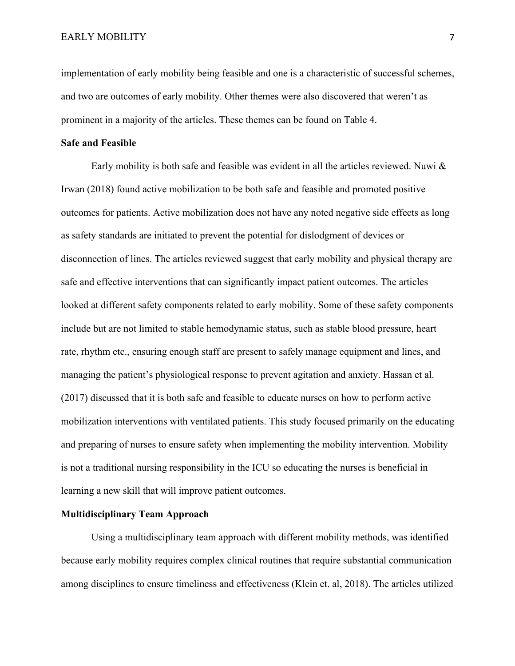implementation of early mobility being feasible and one is a characteristic of successful schemes, and two are outcomes of early mobility. Other themes were also discovered that weren't as prominent in a majority of the articles. These themes can be found on Table 4.

#### **Safe and Feasible**

Early mobility is both safe and feasible was evident in all the articles reviewed. Nuwi & Irwan (2018) found active mobilization to be both safe and feasible and promoted positive outcomes for patients. Active mobilization does not have any noted negative side effects as long as safety standards are initiated to prevent the potential for dislodgment of devices or disconnection of lines. The articles reviewed suggest that early mobility and physical therapy are safe and effective interventions that can significantly impact patient outcomes. The articles looked at different safety components related to early mobility. Some of these safety components include but are not limited to stable hemodynamic status, such as stable blood pressure, heart rate, rhythm etc., ensuring enough staff are present to safely manage equipment and lines, and managing the patient's physiological response to prevent agitation and anxiety. Hassan et al. (2017) discussed that it is both safe and feasible to educate nurses on how to perform active mobilization interventions with ventilated patients. This study focused primarily on the educating and preparing of nurses to ensure safety when implementing the mobility intervention. Mobility is not a traditional nursing responsibility in the ICU so educating the nurses is beneficial in learning a new skill that will improve patient outcomes.

### **Multidisciplinary Team Approach**

Using a multidisciplinary team approach with different mobility methods, was identified because early mobility requires complex clinical routines that require substantial communication among disciplines to ensure timeliness and effectiveness (Klein et. al, 2018). The articles utilized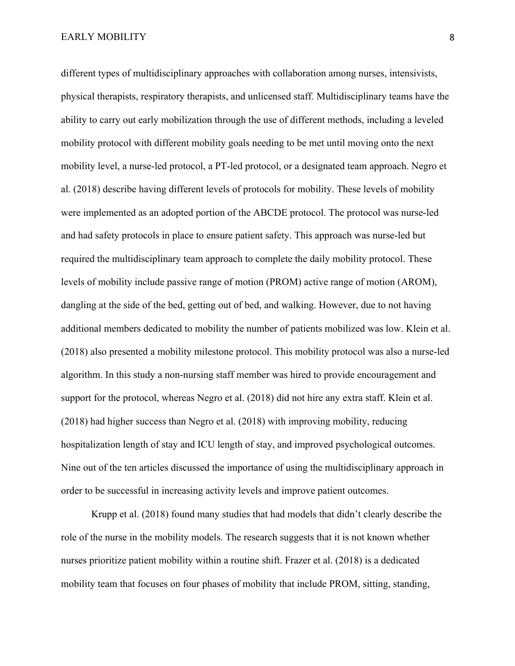different types of multidisciplinary approaches with collaboration among nurses, intensivists, physical therapists, respiratory therapists, and unlicensed staff. Multidisciplinary teams have the ability to carry out early mobilization through the use of different methods, including a leveled mobility protocol with different mobility goals needing to be met until moving onto the next mobility level, a nurse-led protocol, a PT-led protocol, or a designated team approach. Negro et al. (2018) describe having different levels of protocols for mobility. These levels of mobility were implemented as an adopted portion of the ABCDE protocol. The protocol was nurse-led and had safety protocols in place to ensure patient safety. This approach was nurse-led but required the multidisciplinary team approach to complete the daily mobility protocol. These levels of mobility include passive range of motion (PROM) active range of motion (AROM), dangling at the side of the bed, getting out of bed, and walking. However, due to not having additional members dedicated to mobility the number of patients mobilized was low. Klein et al. (2018) also presented a mobility milestone protocol. This mobility protocol was also a nurse-led algorithm. In this study a non-nursing staff member was hired to provide encouragement and support for the protocol, whereas Negro et al. (2018) did not hire any extra staff. Klein et al. (2018) had higher success than Negro et al. (2018) with improving mobility, reducing hospitalization length of stay and ICU length of stay, and improved psychological outcomes. Nine out of the ten articles discussed the importance of using the multidisciplinary approach in order to be successful in increasing activity levels and improve patient outcomes.

Krupp et al. (2018) found many studies that had models that didn't clearly describe the role of the nurse in the mobility models. The research suggests that it is not known whether nurses prioritize patient mobility within a routine shift. Frazer et al. (2018) is a dedicated mobility team that focuses on four phases of mobility that include PROM, sitting, standing,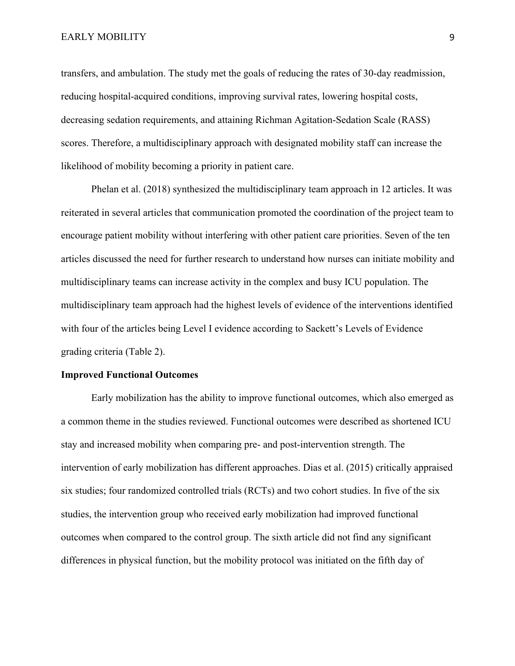transfers, and ambulation. The study met the goals of reducing the rates of 30-day readmission, reducing hospital-acquired conditions, improving survival rates, lowering hospital costs, decreasing sedation requirements, and attaining Richman Agitation-Sedation Scale (RASS) scores. Therefore, a multidisciplinary approach with designated mobility staff can increase the likelihood of mobility becoming a priority in patient care.

Phelan et al. (2018) synthesized the multidisciplinary team approach in 12 articles. It was reiterated in several articles that communication promoted the coordination of the project team to encourage patient mobility without interfering with other patient care priorities. Seven of the ten articles discussed the need for further research to understand how nurses can initiate mobility and multidisciplinary teams can increase activity in the complex and busy ICU population. The multidisciplinary team approach had the highest levels of evidence of the interventions identified with four of the articles being Level I evidence according to Sackett's Levels of Evidence grading criteria (Table 2).

#### **Improved Functional Outcomes**

Early mobilization has the ability to improve functional outcomes, which also emerged as a common theme in the studies reviewed. Functional outcomes were described as shortened ICU stay and increased mobility when comparing pre- and post-intervention strength. The intervention of early mobilization has different approaches. Dias et al. (2015) critically appraised six studies; four randomized controlled trials (RCTs) and two cohort studies. In five of the six studies, the intervention group who received early mobilization had improved functional outcomes when compared to the control group. The sixth article did not find any significant differences in physical function, but the mobility protocol was initiated on the fifth day of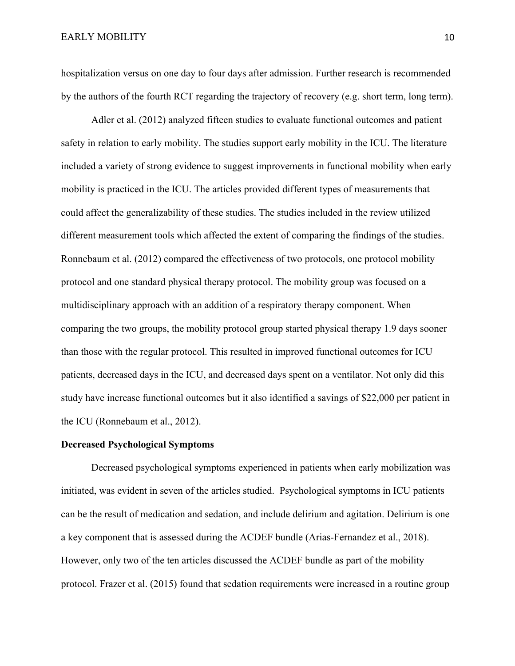hospitalization versus on one day to four days after admission. Further research is recommended by the authors of the fourth RCT regarding the trajectory of recovery (e.g. short term, long term).

Adler et al. (2012) analyzed fifteen studies to evaluate functional outcomes and patient safety in relation to early mobility. The studies support early mobility in the ICU. The literature included a variety of strong evidence to suggest improvements in functional mobility when early mobility is practiced in the ICU. The articles provided different types of measurements that could affect the generalizability of these studies. The studies included in the review utilized different measurement tools which affected the extent of comparing the findings of the studies. Ronnebaum et al. (2012) compared the effectiveness of two protocols, one protocol mobility protocol and one standard physical therapy protocol. The mobility group was focused on a multidisciplinary approach with an addition of a respiratory therapy component. When comparing the two groups, the mobility protocol group started physical therapy 1.9 days sooner than those with the regular protocol. This resulted in improved functional outcomes for ICU patients, decreased days in the ICU, and decreased days spent on a ventilator. Not only did this study have increase functional outcomes but it also identified a savings of \$22,000 per patient in the ICU (Ronnebaum et al., 2012).

#### **Decreased Psychological Symptoms**

Decreased psychological symptoms experienced in patients when early mobilization was initiated, was evident in seven of the articles studied. Psychological symptoms in ICU patients can be the result of medication and sedation, and include delirium and agitation. Delirium is one a key component that is assessed during the ACDEF bundle (Arias-Fernandez et al., 2018). However, only two of the ten articles discussed the ACDEF bundle as part of the mobility protocol. Frazer et al. (2015) found that sedation requirements were increased in a routine group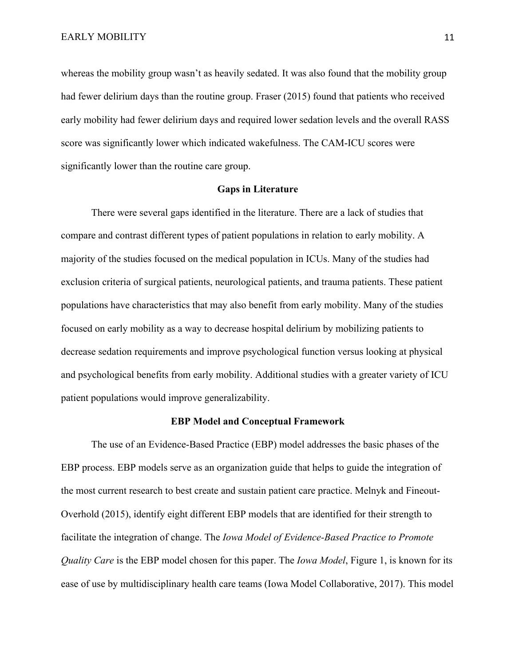whereas the mobility group wasn't as heavily sedated. It was also found that the mobility group had fewer delirium days than the routine group. Fraser (2015) found that patients who received early mobility had fewer delirium days and required lower sedation levels and the overall RASS score was significantly lower which indicated wakefulness. The CAM-ICU scores were significantly lower than the routine care group.

#### **Gaps in Literature**

There were several gaps identified in the literature. There are a lack of studies that compare and contrast different types of patient populations in relation to early mobility. A majority of the studies focused on the medical population in ICUs. Many of the studies had exclusion criteria of surgical patients, neurological patients, and trauma patients. These patient populations have characteristics that may also benefit from early mobility. Many of the studies focused on early mobility as a way to decrease hospital delirium by mobilizing patients to decrease sedation requirements and improve psychological function versus looking at physical and psychological benefits from early mobility. Additional studies with a greater variety of ICU patient populations would improve generalizability.

#### **EBP Model and Conceptual Framework**

The use of an Evidence-Based Practice (EBP) model addresses the basic phases of the EBP process. EBP models serve as an organization guide that helps to guide the integration of the most current research to best create and sustain patient care practice. Melnyk and Fineout-Overhold (2015), identify eight different EBP models that are identified for their strength to facilitate the integration of change. The *Iowa Model of Evidence-Based Practice to Promote Quality Care* is the EBP model chosen for this paper. The *Iowa Model*, Figure 1, is known for its ease of use by multidisciplinary health care teams (Iowa Model Collaborative, 2017). This model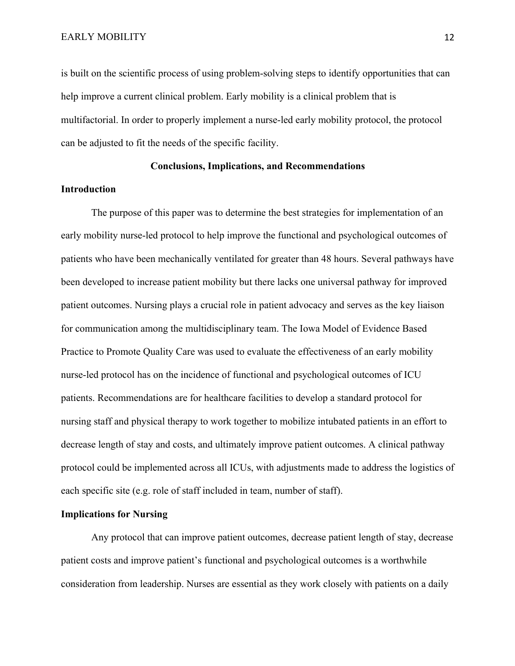is built on the scientific process of using problem-solving steps to identify opportunities that can help improve a current clinical problem. Early mobility is a clinical problem that is multifactorial. In order to properly implement a nurse-led early mobility protocol, the protocol can be adjusted to fit the needs of the specific facility.

#### **Conclusions, Implications, and Recommendations**

#### **Introduction**

The purpose of this paper was to determine the best strategies for implementation of an early mobility nurse-led protocol to help improve the functional and psychological outcomes of patients who have been mechanically ventilated for greater than 48 hours. Several pathways have been developed to increase patient mobility but there lacks one universal pathway for improved patient outcomes. Nursing plays a crucial role in patient advocacy and serves as the key liaison for communication among the multidisciplinary team. The Iowa Model of Evidence Based Practice to Promote Quality Care was used to evaluate the effectiveness of an early mobility nurse-led protocol has on the incidence of functional and psychological outcomes of ICU patients. Recommendations are for healthcare facilities to develop a standard protocol for nursing staff and physical therapy to work together to mobilize intubated patients in an effort to decrease length of stay and costs, and ultimately improve patient outcomes. A clinical pathway protocol could be implemented across all ICUs, with adjustments made to address the logistics of each specific site (e.g. role of staff included in team, number of staff).

#### **Implications for Nursing**

Any protocol that can improve patient outcomes, decrease patient length of stay, decrease patient costs and improve patient's functional and psychological outcomes is a worthwhile consideration from leadership. Nurses are essential as they work closely with patients on a daily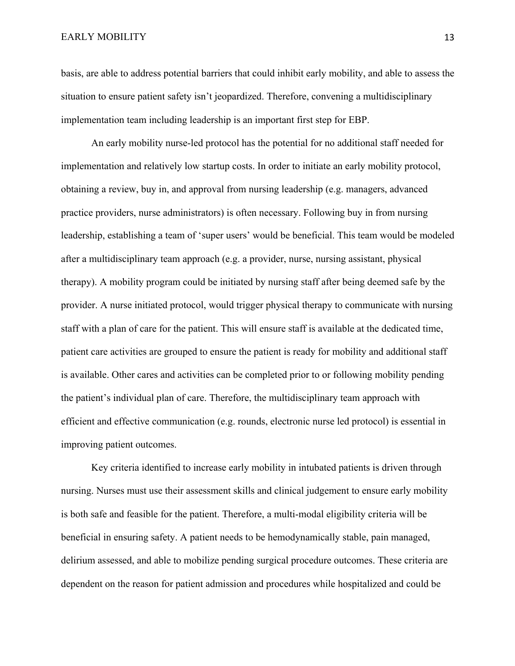basis, are able to address potential barriers that could inhibit early mobility, and able to assess the situation to ensure patient safety isn't jeopardized. Therefore, convening a multidisciplinary implementation team including leadership is an important first step for EBP.

An early mobility nurse-led protocol has the potential for no additional staff needed for implementation and relatively low startup costs. In order to initiate an early mobility protocol, obtaining a review, buy in, and approval from nursing leadership (e.g. managers, advanced practice providers, nurse administrators) is often necessary. Following buy in from nursing leadership, establishing a team of 'super users' would be beneficial. This team would be modeled after a multidisciplinary team approach (e.g. a provider, nurse, nursing assistant, physical therapy). A mobility program could be initiated by nursing staff after being deemed safe by the provider. A nurse initiated protocol, would trigger physical therapy to communicate with nursing staff with a plan of care for the patient. This will ensure staff is available at the dedicated time, patient care activities are grouped to ensure the patient is ready for mobility and additional staff is available. Other cares and activities can be completed prior to or following mobility pending the patient's individual plan of care. Therefore, the multidisciplinary team approach with efficient and effective communication (e.g. rounds, electronic nurse led protocol) is essential in improving patient outcomes.

Key criteria identified to increase early mobility in intubated patients is driven through nursing. Nurses must use their assessment skills and clinical judgement to ensure early mobility is both safe and feasible for the patient. Therefore, a multi-modal eligibility criteria will be beneficial in ensuring safety. A patient needs to be hemodynamically stable, pain managed, delirium assessed, and able to mobilize pending surgical procedure outcomes. These criteria are dependent on the reason for patient admission and procedures while hospitalized and could be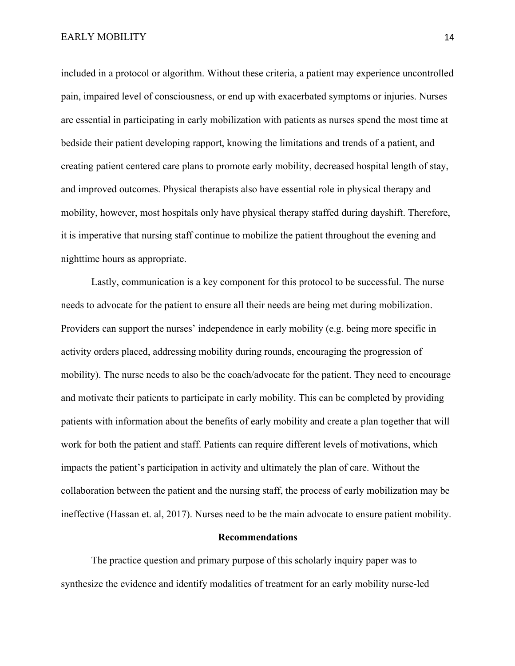included in a protocol or algorithm. Without these criteria, a patient may experience uncontrolled pain, impaired level of consciousness, or end up with exacerbated symptoms or injuries. Nurses are essential in participating in early mobilization with patients as nurses spend the most time at bedside their patient developing rapport, knowing the limitations and trends of a patient, and creating patient centered care plans to promote early mobility, decreased hospital length of stay, and improved outcomes. Physical therapists also have essential role in physical therapy and mobility, however, most hospitals only have physical therapy staffed during dayshift. Therefore, it is imperative that nursing staff continue to mobilize the patient throughout the evening and nighttime hours as appropriate.

Lastly, communication is a key component for this protocol to be successful. The nurse needs to advocate for the patient to ensure all their needs are being met during mobilization. Providers can support the nurses' independence in early mobility (e.g. being more specific in activity orders placed, addressing mobility during rounds, encouraging the progression of mobility). The nurse needs to also be the coach/advocate for the patient. They need to encourage and motivate their patients to participate in early mobility. This can be completed by providing patients with information about the benefits of early mobility and create a plan together that will work for both the patient and staff. Patients can require different levels of motivations, which impacts the patient's participation in activity and ultimately the plan of care. Without the collaboration between the patient and the nursing staff, the process of early mobilization may be ineffective (Hassan et. al, 2017). Nurses need to be the main advocate to ensure patient mobility.

#### **Recommendations**

The practice question and primary purpose of this scholarly inquiry paper was to synthesize the evidence and identify modalities of treatment for an early mobility nurse-led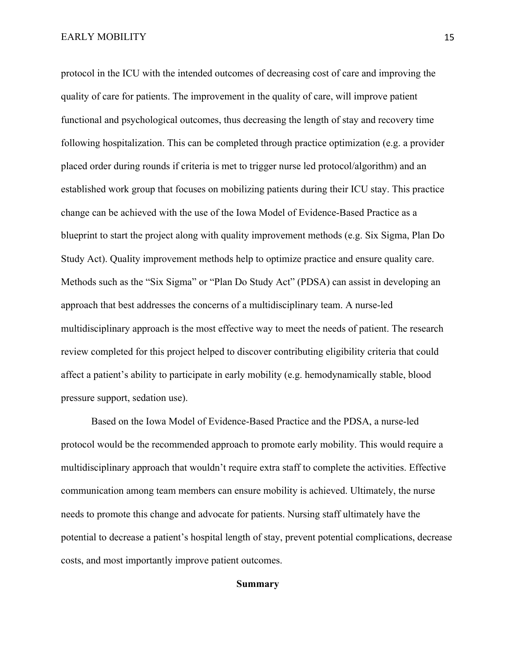protocol in the ICU with the intended outcomes of decreasing cost of care and improving the quality of care for patients. The improvement in the quality of care, will improve patient functional and psychological outcomes, thus decreasing the length of stay and recovery time following hospitalization. This can be completed through practice optimization (e.g. a provider placed order during rounds if criteria is met to trigger nurse led protocol/algorithm) and an established work group that focuses on mobilizing patients during their ICU stay. This practice change can be achieved with the use of the Iowa Model of Evidence-Based Practice as a blueprint to start the project along with quality improvement methods (e.g. Six Sigma, Plan Do Study Act). Quality improvement methods help to optimize practice and ensure quality care. Methods such as the "Six Sigma" or "Plan Do Study Act" (PDSA) can assist in developing an approach that best addresses the concerns of a multidisciplinary team. A nurse-led multidisciplinary approach is the most effective way to meet the needs of patient. The research review completed for this project helped to discover contributing eligibility criteria that could affect a patient's ability to participate in early mobility (e.g. hemodynamically stable, blood pressure support, sedation use).

Based on the Iowa Model of Evidence-Based Practice and the PDSA, a nurse-led protocol would be the recommended approach to promote early mobility. This would require a multidisciplinary approach that wouldn't require extra staff to complete the activities. Effective communication among team members can ensure mobility is achieved. Ultimately, the nurse needs to promote this change and advocate for patients. Nursing staff ultimately have the potential to decrease a patient's hospital length of stay, prevent potential complications, decrease costs, and most importantly improve patient outcomes.

#### **Summary**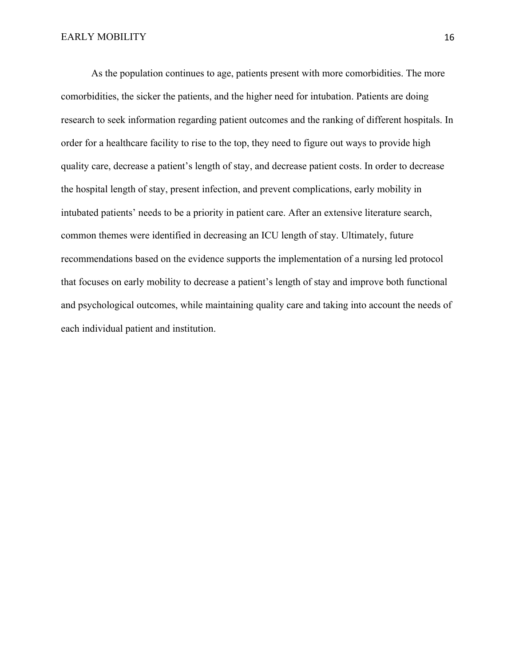As the population continues to age, patients present with more comorbidities. The more comorbidities, the sicker the patients, and the higher need for intubation. Patients are doing research to seek information regarding patient outcomes and the ranking of different hospitals. In order for a healthcare facility to rise to the top, they need to figure out ways to provide high quality care, decrease a patient's length of stay, and decrease patient costs. In order to decrease the hospital length of stay, present infection, and prevent complications, early mobility in intubated patients' needs to be a priority in patient care. After an extensive literature search, common themes were identified in decreasing an ICU length of stay. Ultimately, future recommendations based on the evidence supports the implementation of a nursing led protocol that focuses on early mobility to decrease a patient's length of stay and improve both functional and psychological outcomes, while maintaining quality care and taking into account the needs of each individual patient and institution.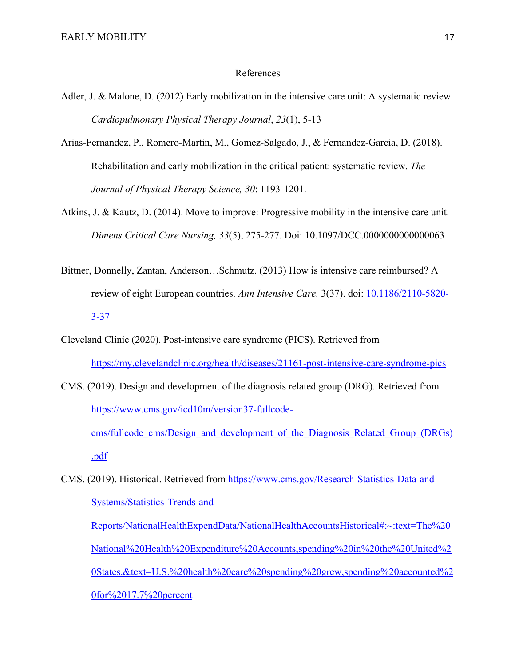#### References

- Adler, J. & Malone, D. (2012) Early mobilization in the intensive care unit: A systematic review. *Cardiopulmonary Physical Therapy Journal*, *23*(1), 5-13
- Arias-Fernandez, P., Romero-Martin, M., Gomez-Salgado, J., & Fernandez-Garcia, D. (2018). Rehabilitation and early mobilization in the critical patient: systematic review. *The Journal of Physical Therapy Science, 30*: 1193-1201.
- Atkins, J. & Kautz, D. (2014). Move to improve: Progressive mobility in the intensive care unit. *Dimens Critical Care Nursing, 33*(5), 275-277. Doi: 10.1097/DCC.0000000000000063
- Bittner, Donnelly, Zantan, Anderson…Schmutz. (2013) How is intensive care reimbursed? A review of eight European countries. *Ann Intensive Care.* 3(37). doi: 10.1186/2110-5820- 3-37
- Cleveland Clinic (2020). Post-intensive care syndrome (PICS). Retrieved from https://my.clevelandclinic.org/health/diseases/21161-post-intensive-care-syndrome-pics
- CMS. (2019). Design and development of the diagnosis related group (DRG). Retrieved from https://www.cms.gov/icd10m/version37-fullcodecms/fullcode\_cms/Design\_and\_development\_of\_the\_Diagnosis\_Related\_Group\_(DRGs) .pdf
- CMS. (2019). Historical. Retrieved from https://www.cms.gov/Research-Statistics-Data-and-Systems/Statistics-Trends-and

 Reports/NationalHealthExpendData/NationalHealthAccountsHistorical#:~:text=The%20 National%20Health%20Expenditure%20Accounts,spending%20in%20the%20United%2 0States.&text=U.S.%20health%20care%20spending%20grew,spending%20accounted%2 0for%2017.7%20percent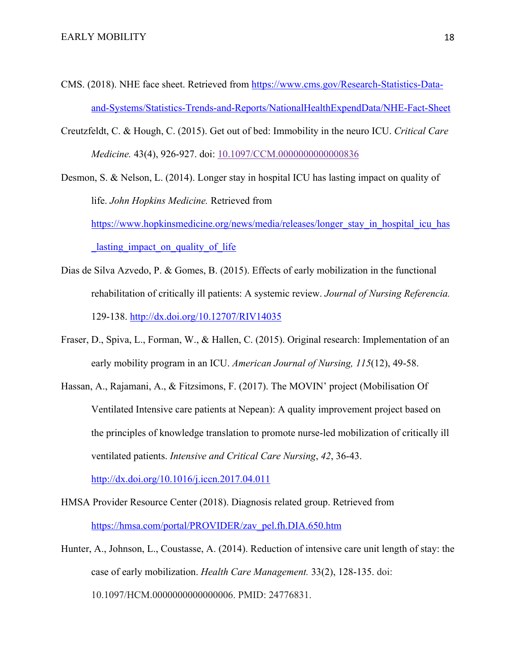- CMS. (2018). NHE face sheet. Retrieved from https://www.cms.gov/Research-Statistics-Dataand-Systems/Statistics-Trends-and-Reports/NationalHealthExpendData/NHE-Fact-Sheet
- Creutzfeldt, C. & Hough, C. (2015). Get out of bed: Immobility in the neuro ICU. *Critical Care Medicine.* 43(4), 926-927. doi: 10.1097/CCM.0000000000000836

Desmon, S. & Nelson, L. (2014). Longer stay in hospital ICU has lasting impact on quality of life. *John Hopkins Medicine.* Retrieved from https://www.hopkinsmedicine.org/news/media/releases/longer\_stay\_in\_hospital\_icu\_has lasting impact on quality of life

- Dias de Silva Azvedo, P. & Gomes, B. (2015). Effects of early mobilization in the functional rehabilitation of critically ill patients: A systemic review. *Journal of Nursing Referencia.*  129-138. http://dx.doi.org/10.12707/RIV14035
- Fraser, D., Spiva, L., Forman, W., & Hallen, C. (2015). Original research: Implementation of an early mobility program in an ICU. *American Journal of Nursing, 115*(12), 49-58.
- Hassan, A., Rajamani, A., & Fitzsimons, F. (2017). The MOVIN' project (Mobilisation Of Ventilated Intensive care patients at Nepean): A quality improvement project based on the principles of knowledge translation to promote nurse-led mobilization of critically ill ventilated patients. *Intensive and Critical Care Nursing*, *42*, 36-43. http://dx.doi.org/10.1016/j.iccn.2017.04.011
- HMSA Provider Resource Center (2018). Diagnosis related group. Retrieved from https://hmsa.com/portal/PROVIDER/zav\_pel.fh.DIA.650.htm
- Hunter, A., Johnson, L., Coustasse, A. (2014). Reduction of intensive care unit length of stay: the case of early mobilization. *Health Care Management.* 33(2), 128-135. doi: 10.1097/HCM.0000000000000006. PMID: 24776831.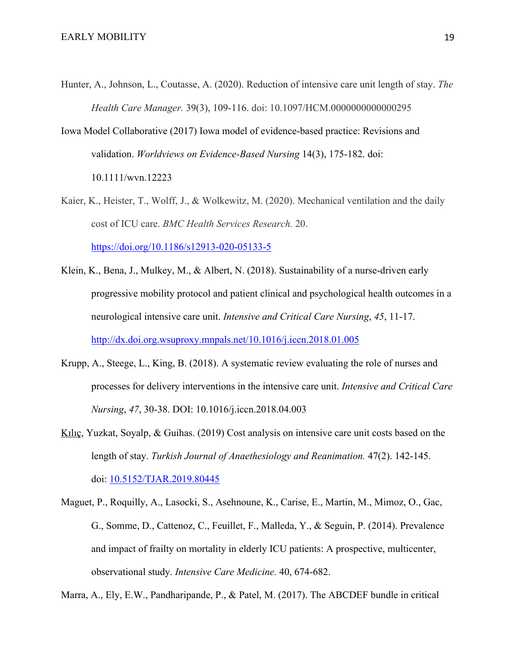- Hunter, A., Johnson, L., Coutasse, A. (2020). Reduction of intensive care unit length of stay. *The Health Care Manager.* 39(3), 109-116. doi: 10.1097/HCM.0000000000000295
- Iowa Model Collaborative (2017) Iowa model of evidence-based practice: Revisions and validation. *Worldviews on Evidence-Based Nursing* 14(3), 175-182. doi: 10.1111/wvn.12223
- Kaier, K., Heister, T., Wolff, J., & Wolkewitz, M. (2020). Mechanical ventilation and the daily cost of ICU care. *BMC Health Services Research.* 20.

https://doi.org/10.1186/s12913-020-05133-5

- Klein, K., Bena, J., Mulkey, M., & Albert, N. (2018). Sustainability of a nurse-driven early progressive mobility protocol and patient clinical and psychological health outcomes in a neurological intensive care unit. *Intensive and Critical Care Nursing*, *45*, 11-17. http://dx.doi.org.wsuproxy.mnpals.net/10.1016/j.iccn.2018.01.005
- Krupp, A., Steege, L., King, B. (2018). A systematic review evaluating the role of nurses and processes for delivery interventions in the intensive care unit. *Intensive and Critical Care Nursing*, *47*, 30-38. DOI: 10.1016/j.iccn.2018.04.003
- Kılıç, Yuzkat, Soyalp, & Guihas. (2019) Cost analysis on intensive care unit costs based on the length of stay. *Turkish Journal of Anaethesiology and Reanimation.* 47(2). 142-145. doi: 10.5152/TJAR.2019.80445
- Maguet, P., Roquilly, A., Lasocki, S., Asehnoune, K., Carise, E., Martin, M., Mimoz, O., Gac, G., Somme, D., Cattenoz, C., Feuillet, F., Malleda, Y., & Seguin, P. (2014). Prevalence and impact of frailty on mortality in elderly ICU patients: A prospective, multicenter, observational study. *Intensive Care Medicine.* 40, 674-682.

Marra, A., Ely, E.W., Pandharipande, P., & Patel, M. (2017). The ABCDEF bundle in critical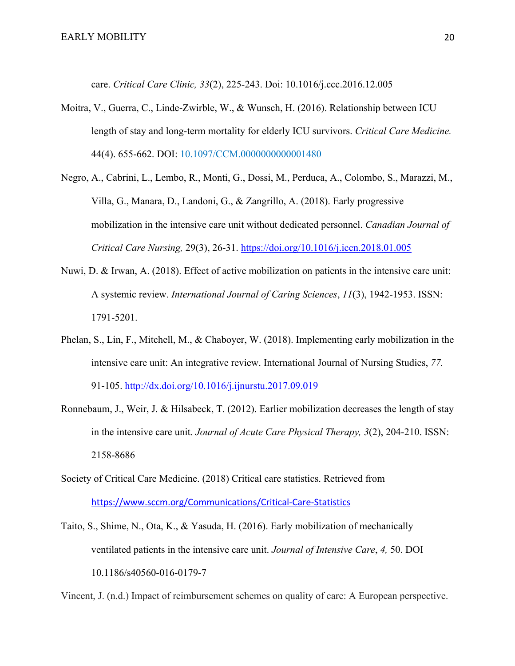care. *Critical Care Clinic, 33*(2), 225-243. Doi: 10.1016/j.ccc.2016.12.005

- Moitra, V., Guerra, C., Linde-Zwirble, W., & Wunsch, H. (2016). Relationship between ICU length of stay and long-term mortality for elderly ICU survivors. *Critical Care Medicine.* 44(4). 655-662. DOI: 10.1097/CCM.0000000000001480
- Negro, A., Cabrini, L., Lembo, R., Monti, G., Dossi, M., Perduca, A., Colombo, S., Marazzi, M., Villa, G., Manara, D., Landoni, G., & Zangrillo, A. (2018). Early progressive mobilization in the intensive care unit without dedicated personnel. *Canadian Journal of Critical Care Nursing,* 29(3), 26-31. https://doi.org/10.1016/j.iccn.2018.01.005
- Nuwi, D. & Irwan, A. (2018). Effect of active mobilization on patients in the intensive care unit: A systemic review. *International Journal of Caring Sciences*, *11*(3), 1942-1953. ISSN: 1791-5201.
- Phelan, S., Lin, F., Mitchell, M., & Chaboyer, W. (2018). Implementing early mobilization in the intensive care unit: An integrative review. International Journal of Nursing Studies, *77.* 91-105. http://dx.doi.org/10.1016/j.ijnurstu.2017.09.019
- Ronnebaum, J., Weir, J. & Hilsabeck, T. (2012). Earlier mobilization decreases the length of stay in the intensive care unit. *Journal of Acute Care Physical Therapy, 3*(2), 204-210. ISSN: 2158-8686
- Society of Critical Care Medicine. (2018) Critical care statistics. Retrieved from https://www.sccm.org/Communications/Critical-Care-Statistics
- Taito, S., Shime, N., Ota, K., & Yasuda, H. (2016). Early mobilization of mechanically ventilated patients in the intensive care unit. *Journal of Intensive Care*, *4,* 50. DOI 10.1186/s40560-016-0179-7

Vincent, J. (n.d.) Impact of reimbursement schemes on quality of care: A European perspective.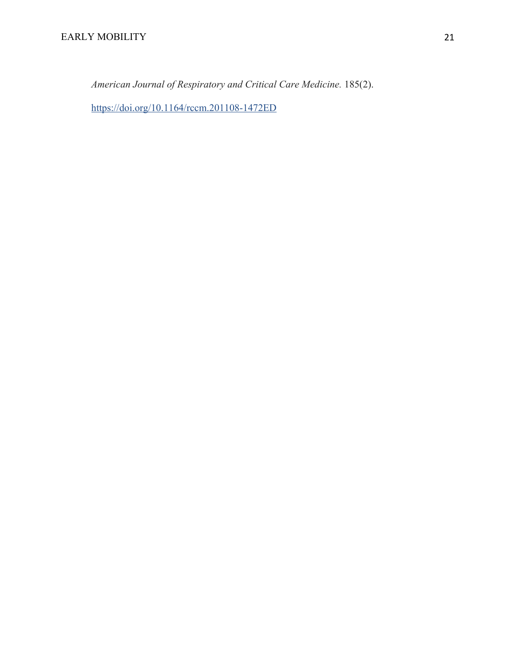*American Journal of Respiratory and Critical Care Medicine.* 185(2).

https://doi.org/10.1164/rccm.201108-1472ED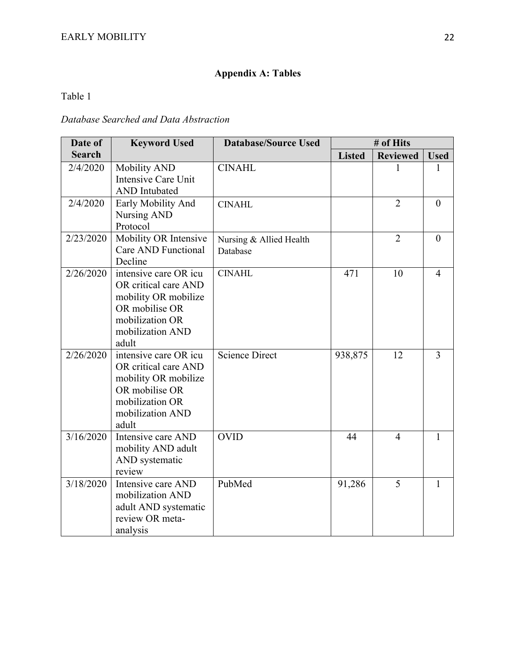# **Appendix A: Tables**

Table 1

## *Database Searched and Data Abstraction*

| Date of       | <b>Keyword Used</b>                                                                                                                     | <b>Database/Source Used</b>         | # of Hits     |                 |                |
|---------------|-----------------------------------------------------------------------------------------------------------------------------------------|-------------------------------------|---------------|-----------------|----------------|
| <b>Search</b> |                                                                                                                                         |                                     | <b>Listed</b> | <b>Reviewed</b> | <b>Used</b>    |
| 2/4/2020      | Mobility AND<br><b>Intensive Care Unit</b><br><b>AND</b> Intubated                                                                      | <b>CINAHL</b>                       |               |                 | 1              |
| 2/4/2020      | Early Mobility And<br>Nursing AND<br>Protocol                                                                                           | <b>CINAHL</b>                       |               | $\overline{2}$  | $\theta$       |
| 2/23/2020     | Mobility OR Intensive<br>Care AND Functional<br>Decline                                                                                 | Nursing & Allied Health<br>Database |               | $\overline{2}$  | $\theta$       |
| 2/26/2020     | intensive care OR icu<br>OR critical care AND<br>mobility OR mobilize<br>OR mobilise OR<br>mobilization OR<br>mobilization AND<br>adult | <b>CINAHL</b>                       | 471           | 10              | $\overline{4}$ |
| 2/26/2020     | intensive care OR icu<br>OR critical care AND<br>mobility OR mobilize<br>OR mobilise OR<br>mobilization OR<br>mobilization AND<br>adult | <b>Science Direct</b>               | 938,875       | 12              | $\overline{3}$ |
| 3/16/2020     | Intensive care AND<br>mobility AND adult<br>AND systematic<br>review                                                                    | <b>OVID</b>                         | 44            | $\overline{4}$  | 1              |
| 3/18/2020     | Intensive care AND<br>mobilization AND<br>adult AND systematic<br>review OR meta-<br>analysis                                           | PubMed                              | 91,286        | 5               | 1              |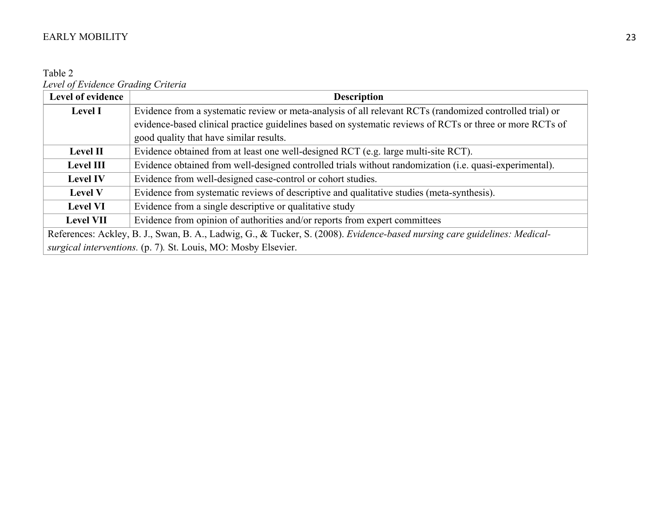Table 2 *Level of Evidence Grading Criteria*

| Level of evidence | <b>Description</b>                                                                                                        |  |  |  |
|-------------------|---------------------------------------------------------------------------------------------------------------------------|--|--|--|
| <b>Level I</b>    | Evidence from a systematic review or meta-analysis of all relevant RCTs (randomized controlled trial) or                  |  |  |  |
|                   | evidence-based clinical practice guidelines based on systematic reviews of RCTs or three or more RCTs of                  |  |  |  |
|                   | good quality that have similar results.                                                                                   |  |  |  |
| <b>Level II</b>   | Evidence obtained from at least one well-designed RCT (e.g. large multi-site RCT).                                        |  |  |  |
| <b>Level III</b>  | Evidence obtained from well-designed controlled trials without randomization (i.e. quasi-experimental).                   |  |  |  |
| <b>Level IV</b>   | Evidence from well-designed case-control or cohort studies.                                                               |  |  |  |
| <b>Level V</b>    | Evidence from systematic reviews of descriptive and qualitative studies (meta-synthesis).                                 |  |  |  |
| <b>Level VI</b>   | Evidence from a single descriptive or qualitative study                                                                   |  |  |  |
| <b>Level VII</b>  | Evidence from opinion of authorities and/or reports from expert committees                                                |  |  |  |
|                   | References: Ackley, B. J., Swan, B. A., Ladwig, G., & Tucker, S. (2008). Evidence-based nursing care guidelines: Medical- |  |  |  |
|                   | surgical interventions. (p. 7). St. Louis, MO: Mosby Elsevier.                                                            |  |  |  |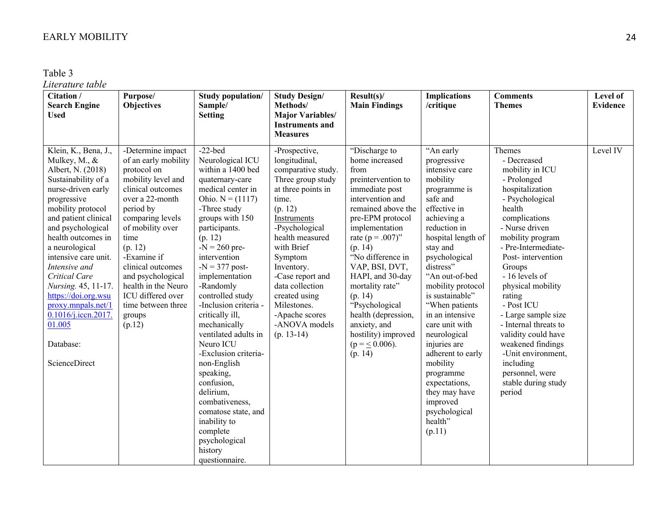Table 3

# *Literature table*

| Citation /<br><b>Search Engine</b><br><b>Used</b>                                                                                                                                                                                                                                                                                                                                                                             | Purpose/<br><b>Objectives</b>                                                                                                                                                                                                                                                                                                                 | <b>Study population/</b><br>Sample/<br><b>Setting</b>                                                                                                                                                                                                                                                                                                                                                                                                                                                                                                                                         | <b>Study Design/</b><br>Methods/<br><b>Major Variables/</b><br><b>Instruments and</b><br><b>Measures</b>                                                                                                                                                                                                                                 | Result(s)<br><b>Main Findings</b>                                                                                                                                                                                                                                                                                                                                                                         | <b>Implications</b><br>/critique                                                                                                                                                                                                                                                                                                                                                                                                                                                     | <b>Comments</b><br><b>Themes</b>                                                                                                                                                                                                                                                                                                                                                                                                                                       | Level of<br><b>Evidence</b> |
|-------------------------------------------------------------------------------------------------------------------------------------------------------------------------------------------------------------------------------------------------------------------------------------------------------------------------------------------------------------------------------------------------------------------------------|-----------------------------------------------------------------------------------------------------------------------------------------------------------------------------------------------------------------------------------------------------------------------------------------------------------------------------------------------|-----------------------------------------------------------------------------------------------------------------------------------------------------------------------------------------------------------------------------------------------------------------------------------------------------------------------------------------------------------------------------------------------------------------------------------------------------------------------------------------------------------------------------------------------------------------------------------------------|------------------------------------------------------------------------------------------------------------------------------------------------------------------------------------------------------------------------------------------------------------------------------------------------------------------------------------------|-----------------------------------------------------------------------------------------------------------------------------------------------------------------------------------------------------------------------------------------------------------------------------------------------------------------------------------------------------------------------------------------------------------|--------------------------------------------------------------------------------------------------------------------------------------------------------------------------------------------------------------------------------------------------------------------------------------------------------------------------------------------------------------------------------------------------------------------------------------------------------------------------------------|------------------------------------------------------------------------------------------------------------------------------------------------------------------------------------------------------------------------------------------------------------------------------------------------------------------------------------------------------------------------------------------------------------------------------------------------------------------------|-----------------------------|
| Klein, K., Bena, J.,<br>Mulkey, M., &<br>Albert, N. (2018)<br>Sustainability of a<br>nurse-driven early<br>progressive<br>mobility protocol<br>and patient clinical<br>and psychological<br>health outcomes in<br>a neurological<br>intensive care unit.<br>Intensive and<br>Critical Care<br>Nursing. 45, 11-17.<br>https://doi.org.wsu<br>proxy.mnpals.net/1<br>0.1016/j.iccn.2017.<br>01.005<br>Database:<br>ScienceDirect | -Determine impact<br>of an early mobility<br>protocol on<br>mobility level and<br>clinical outcomes<br>over a 22-month<br>period by<br>comparing levels<br>of mobility over<br>time<br>(p. 12)<br>-Examine if<br>clinical outcomes<br>and psychological<br>health in the Neuro<br>ICU differed over<br>time between three<br>groups<br>(p.12) | $-22$ -bed<br>Neurological ICU<br>within a 1400 bed<br>quaternary-care<br>medical center in<br>Ohio. $N = (1117)$<br>-Three study<br>groups with 150<br>participants.<br>(p. 12)<br>$-N = 260$ pre-<br>intervention<br>$-N = 377$ post-<br>implementation<br>-Randomly<br>controlled study<br>-Inclusion criteria -<br>critically ill,<br>mechanically<br>ventilated adults in<br>Neuro ICU<br>-Exclusion criteria-<br>non-English<br>speaking,<br>confusion,<br>delirium,<br>combativeness,<br>comatose state, and<br>inability to<br>complete<br>psychological<br>history<br>questionnaire. | -Prospective,<br>longitudinal,<br>comparative study.<br>Three group study<br>at three points in<br>time.<br>(p. 12)<br>Instruments<br>-Psychological<br>health measured<br>with Brief<br>Symptom<br>Inventory.<br>-Case report and<br>data collection<br>created using<br>Milestones.<br>-Apache scores<br>-ANOVA models<br>$(p. 13-14)$ | "Discharge to<br>home increased<br>from<br>preintervention to<br>immediate post<br>intervention and<br>remained above the<br>pre-EPM protocol<br>implementation<br>rate ( $p = .007$ )"<br>(p. 14)<br>"No difference in<br>VAP, BSI, DVT,<br>HAPI, and 30-day<br>mortality rate"<br>(p. 14)<br>"Psychological<br>health (depression,<br>anxiety, and<br>hostility) improved<br>$(p = 0.006)$ .<br>(p. 14) | "An early<br>progressive<br>intensive care<br>mobility<br>programme is<br>safe and<br>effective in<br>achieving a<br>reduction in<br>hospital length of<br>stay and<br>psychological<br>distress"<br>"An out-of-bed<br>mobility protocol<br>is sustainable"<br>"When patients<br>in an intensive<br>care unit with<br>neurological<br>injuries are<br>adherent to early<br>mobility<br>programme<br>expectations,<br>they may have<br>improved<br>psychological<br>health"<br>(p.11) | Themes<br>- Decreased<br>mobility in ICU<br>- Prolonged<br>hospitalization<br>- Psychological<br>health<br>complications<br>- Nurse driven<br>mobility program<br>- Pre-Intermediate-<br>Post-intervention<br>Groups<br>- 16 levels of<br>physical mobility<br>rating<br>- Post ICU<br>- Large sample size<br>- Internal threats to<br>validity could have<br>weakened findings<br>-Unit environment,<br>including<br>personnel, were<br>stable during study<br>period | Level IV                    |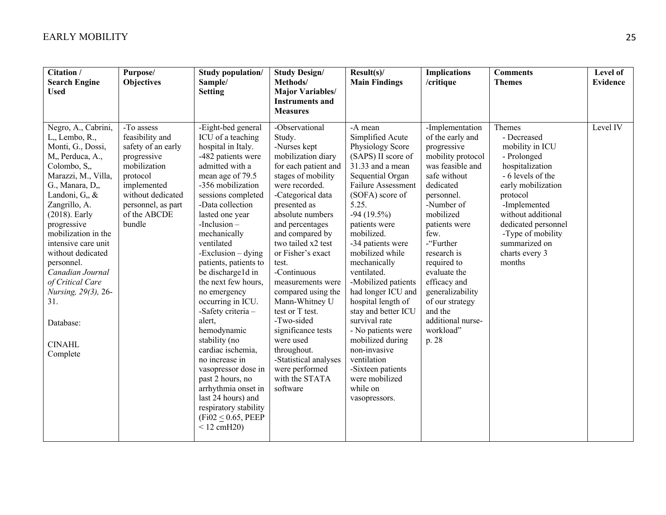| Citation /<br><b>Search Engine</b><br><b>Used</b>                                                                                                                                                                                                                                                                                                                                                               | Purpose/<br><b>Objectives</b>                                                                                                                                                      | <b>Study population/</b><br>Sample/<br><b>Setting</b>                                                                                                                                                                                                                                                                                                                                                                                                                                                                                                                                                                                                         | <b>Study Design/</b><br>Methods/<br><b>Major Variables/</b><br><b>Instruments and</b><br><b>Measures</b>                                                                                                                                                                                                                                                                                                                                                                                                                  | Result(s)<br><b>Main Findings</b>                                                                                                                                                                                                                                                                                                                                                                                                                                                                                                                    | <b>Implications</b><br>/critique                                                                                                                                                                                                                                                                                                                                   | <b>Comments</b><br><b>Themes</b>                                                                                                                                                                                                                                 | Level of<br>Evidence |
|-----------------------------------------------------------------------------------------------------------------------------------------------------------------------------------------------------------------------------------------------------------------------------------------------------------------------------------------------------------------------------------------------------------------|------------------------------------------------------------------------------------------------------------------------------------------------------------------------------------|---------------------------------------------------------------------------------------------------------------------------------------------------------------------------------------------------------------------------------------------------------------------------------------------------------------------------------------------------------------------------------------------------------------------------------------------------------------------------------------------------------------------------------------------------------------------------------------------------------------------------------------------------------------|---------------------------------------------------------------------------------------------------------------------------------------------------------------------------------------------------------------------------------------------------------------------------------------------------------------------------------------------------------------------------------------------------------------------------------------------------------------------------------------------------------------------------|------------------------------------------------------------------------------------------------------------------------------------------------------------------------------------------------------------------------------------------------------------------------------------------------------------------------------------------------------------------------------------------------------------------------------------------------------------------------------------------------------------------------------------------------------|--------------------------------------------------------------------------------------------------------------------------------------------------------------------------------------------------------------------------------------------------------------------------------------------------------------------------------------------------------------------|------------------------------------------------------------------------------------------------------------------------------------------------------------------------------------------------------------------------------------------------------------------|----------------------|
| Negro, A., Cabrini,<br>L., Lembo, R.,<br>Monti, G., Dossi,<br>M,, Perduca, A.,<br>Colombo, S.,<br>Marazzi, M., Villa,<br>G., Manara, D,,<br>Landoni, G., &<br>Zangrillo, A.<br>$(2018)$ . Early<br>progressive<br>mobilization in the<br>intensive care unit<br>without dedicated<br>personnel.<br>Canadian Journal<br>of Critical Care<br>Nursing, 29(3), 26-<br>31.<br>Database:<br><b>CINAHL</b><br>Complete | -To assess<br>feasibility and<br>safety of an early<br>progressive<br>mobilization<br>protocol<br>implemented<br>without dedicated<br>personnel, as part<br>of the ABCDE<br>bundle | -Eight-bed general<br>ICU of a teaching<br>hospital in Italy.<br>-482 patients were<br>admitted with a<br>mean age of 79.5<br>-356 mobilization<br>sessions completed<br>-Data collection<br>lasted one year<br>$-Inclusion -$<br>mechanically<br>ventilated<br>$-Exclusion - dying$<br>patients, patients to<br>be dischargeld in<br>the next few hours,<br>no emergency<br>occurring in ICU.<br>-Safety criteria-<br>alert,<br>hemodynamic<br>stability (no<br>cardiac ischemia,<br>no increase in<br>vasopressor dose in<br>past 2 hours, no<br>arrhythmia onset in<br>last 24 hours) and<br>respiratory stability<br>(Fi02 < 0.65, PEEP)<br>$< 12$ cmH20) | -Observational<br>Study.<br>-Nurses kept<br>mobilization diary<br>for each patient and<br>stages of mobility<br>were recorded.<br>-Categorical data<br>presented as<br>absolute numbers<br>and percentages<br>and compared by<br>two tailed x2 test<br>or Fisher's exact<br>test.<br>-Continuous<br>measurements were<br>compared using the<br>Mann-Whitney U<br>test or T test.<br>-Two-sided<br>significance tests<br>were used<br>throughout.<br>-Statistical analyses<br>were performed<br>with the STATA<br>software | -A mean<br>Simplified Acute<br>Physiology Score<br>(SAPS) II score of<br>31.33 and a mean<br>Sequential Organ<br><b>Failure Assessment</b><br>(SOFA) score of<br>5.25.<br>$-94(19.5%)$<br>patients were<br>mobilized.<br>-34 patients were<br>mobilized while<br>mechanically<br>ventilated.<br>-Mobilized patients<br>had longer ICU and<br>hospital length of<br>stay and better ICU<br>survival rate<br>- No patients were<br>mobilized during<br>non-invasive<br>ventilation<br>-Sixteen patients<br>were mobilized<br>while on<br>vasopressors. | -Implementation<br>of the early and<br>progressive<br>mobility protocol<br>was feasible and<br>safe without<br>dedicated<br>personnel.<br>-Number of<br>mobilized<br>patients were<br>few.<br>-"Further<br>research is<br>required to<br>evaluate the<br>efficacy and<br>generalizability<br>of our strategy<br>and the<br>additional nurse-<br>workload"<br>p. 28 | Themes<br>- Decreased<br>mobility in ICU<br>- Prolonged<br>hospitalization<br>- 6 levels of the<br>early mobilization<br>protocol<br>-Implemented<br>without additional<br>dedicated personnel<br>-Type of mobility<br>summarized on<br>charts every 3<br>months | Level IV             |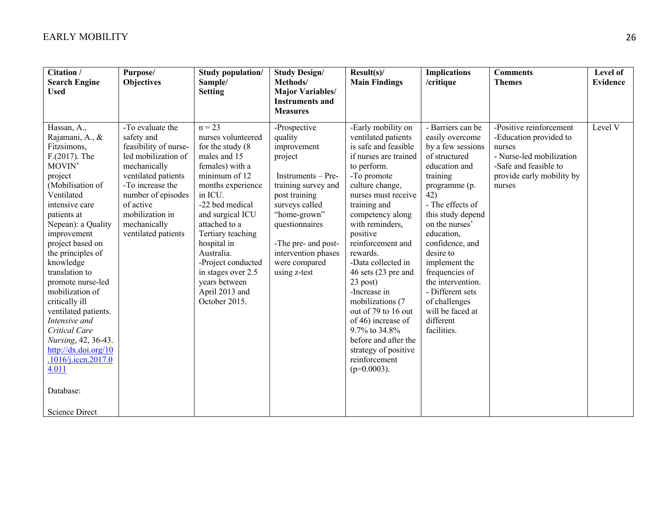| Citation /<br><b>Search Engine</b><br><b>Used</b>                                                                                                                                                                                                                     | Purpose/<br><b>Objectives</b>                                                                                                                                                                                                          | <b>Study population/</b><br>Sample/<br><b>Setting</b>                                                                                                                                                                                                                                           | <b>Study Design/</b><br>Methods/<br><b>Major Variables/</b><br><b>Instruments and</b>                                                                                                                                                                                 | Result(s)<br><b>Main Findings</b>                                                                                                                                                                                                                                                                                   | <b>Implications</b><br>/critique                                                                                                                                                                                                                                            | <b>Comments</b><br><b>Themes</b>                                                                                                                        | Level of<br><b>Evidence</b> |
|-----------------------------------------------------------------------------------------------------------------------------------------------------------------------------------------------------------------------------------------------------------------------|----------------------------------------------------------------------------------------------------------------------------------------------------------------------------------------------------------------------------------------|-------------------------------------------------------------------------------------------------------------------------------------------------------------------------------------------------------------------------------------------------------------------------------------------------|-----------------------------------------------------------------------------------------------------------------------------------------------------------------------------------------------------------------------------------------------------------------------|---------------------------------------------------------------------------------------------------------------------------------------------------------------------------------------------------------------------------------------------------------------------------------------------------------------------|-----------------------------------------------------------------------------------------------------------------------------------------------------------------------------------------------------------------------------------------------------------------------------|---------------------------------------------------------------------------------------------------------------------------------------------------------|-----------------------------|
| Hassan, A.,<br>Rajamani, A., &<br>Fitzsimons,<br>$F(2017)$ . The<br>MOVIN'<br>project<br>(Mobilisation of<br>Ventilated<br>intensive care<br>patients at<br>Nepean): a Quality<br>improvement<br>project based on<br>the principles of<br>knowledge<br>translation to | -To evaluate the<br>safety and<br>feasibility of nurse-<br>led mobilization of<br>mechanically<br>ventilated patients<br>-To increase the<br>number of episodes<br>of active<br>mobilization in<br>mechanically<br>ventilated patients | $n = 23$<br>nurses volunteered<br>for the study $(8)$<br>males and 15<br>females) with a<br>minimum of 12<br>months experience<br>in ICU.<br>-22 bed medical<br>and surgical ICU<br>attached to a<br>Tertiary teaching<br>hospital in<br>Australia.<br>-Project conducted<br>in stages over 2.5 | <b>Measures</b><br>-Prospective<br>quality<br>improvement<br>project<br>Instruments – Pre-<br>training survey and<br>post training<br>surveys called<br>"home-grown"<br>questionnaires<br>-The pre- and post-<br>intervention phases<br>were compared<br>using z-test | -Early mobility on<br>ventilated patients<br>is safe and feasible<br>if nurses are trained<br>to perform.<br>-To promote<br>culture change,<br>nurses must receive<br>training and<br>competency along<br>with reminders,<br>positive<br>reinforcement and<br>rewards.<br>-Data collected in<br>46 sets (23 pre and | - Barriers can be<br>easily overcome<br>by a few sessions<br>of structured<br>education and<br>training<br>programme (p.<br>42)<br>- The effects of<br>this study depend<br>on the nurses'<br>education,<br>confidence, and<br>desire to<br>implement the<br>frequencies of | -Positive reinforcement<br>-Education provided to<br>nurses<br>- Nurse-led mobilization<br>-Safe and feasible to<br>provide early mobility by<br>nurses | Level V                     |
| promote nurse-led<br>mobilization of<br>critically ill<br>ventilated patients.<br>Intensive and<br>Critical Care<br>Nursing, 42, 36-43.<br>http://dx.doi.org/10<br>.1016/j.iccn.2017.0<br>4.011<br>Database:<br><b>Science Direct</b>                                 |                                                                                                                                                                                                                                        | years between<br>April 2013 and<br>October 2015.                                                                                                                                                                                                                                                |                                                                                                                                                                                                                                                                       | 23 post)<br>-Increase in<br>mobilizations (7<br>out of 79 to 16 out<br>of 46) increase of<br>9.7% to 34.8%<br>before and after the<br>strategy of positive<br>reinforcement<br>$(p=0.0003)$ .                                                                                                                       | the intervention.<br>- Different sets<br>of challenges<br>will be faced at<br>different<br>facilities.                                                                                                                                                                      |                                                                                                                                                         |                             |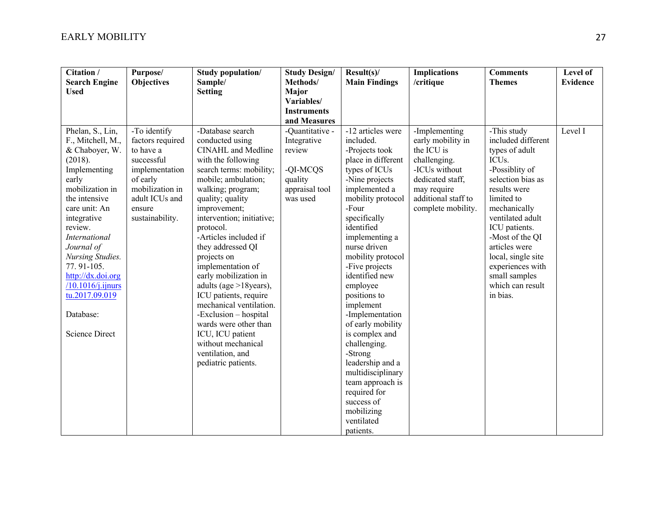| Citation /                                                                                                                                                                                                                                                                                                                                    | Purpose/                                                                                                                                                    | Study population/                                                                                                                                                                                                                                                                                                                                                                                                                                                                                                                                                           | <b>Study Design/</b>                                                                          | Result(s)                                                                                                                                                                                                                                                                                                                                                                                                                                                                                                                              | <b>Implications</b>                                                                                                                                               | <b>Comments</b>                                                                                                                                                                                                                                                                                                                    | Level of        |
|-----------------------------------------------------------------------------------------------------------------------------------------------------------------------------------------------------------------------------------------------------------------------------------------------------------------------------------------------|-------------------------------------------------------------------------------------------------------------------------------------------------------------|-----------------------------------------------------------------------------------------------------------------------------------------------------------------------------------------------------------------------------------------------------------------------------------------------------------------------------------------------------------------------------------------------------------------------------------------------------------------------------------------------------------------------------------------------------------------------------|-----------------------------------------------------------------------------------------------|----------------------------------------------------------------------------------------------------------------------------------------------------------------------------------------------------------------------------------------------------------------------------------------------------------------------------------------------------------------------------------------------------------------------------------------------------------------------------------------------------------------------------------------|-------------------------------------------------------------------------------------------------------------------------------------------------------------------|------------------------------------------------------------------------------------------------------------------------------------------------------------------------------------------------------------------------------------------------------------------------------------------------------------------------------------|-----------------|
| <b>Search Engine</b>                                                                                                                                                                                                                                                                                                                          | <b>Objectives</b>                                                                                                                                           | Sample/                                                                                                                                                                                                                                                                                                                                                                                                                                                                                                                                                                     | Methods/                                                                                      | <b>Main Findings</b>                                                                                                                                                                                                                                                                                                                                                                                                                                                                                                                   | /critique                                                                                                                                                         | <b>Themes</b>                                                                                                                                                                                                                                                                                                                      | <b>Evidence</b> |
| <b>Used</b>                                                                                                                                                                                                                                                                                                                                   |                                                                                                                                                             | <b>Setting</b>                                                                                                                                                                                                                                                                                                                                                                                                                                                                                                                                                              | Major<br>Variables/                                                                           |                                                                                                                                                                                                                                                                                                                                                                                                                                                                                                                                        |                                                                                                                                                                   |                                                                                                                                                                                                                                                                                                                                    |                 |
|                                                                                                                                                                                                                                                                                                                                               |                                                                                                                                                             |                                                                                                                                                                                                                                                                                                                                                                                                                                                                                                                                                                             | <b>Instruments</b>                                                                            |                                                                                                                                                                                                                                                                                                                                                                                                                                                                                                                                        |                                                                                                                                                                   |                                                                                                                                                                                                                                                                                                                                    |                 |
|                                                                                                                                                                                                                                                                                                                                               |                                                                                                                                                             |                                                                                                                                                                                                                                                                                                                                                                                                                                                                                                                                                                             | and Measures                                                                                  |                                                                                                                                                                                                                                                                                                                                                                                                                                                                                                                                        |                                                                                                                                                                   |                                                                                                                                                                                                                                                                                                                                    |                 |
| Phelan, S., Lin,<br>F., Mitchell, M.,<br>& Chaboyer, W.<br>(2018).<br>Implementing<br>early<br>mobilization in<br>the intensive<br>care unit: An<br>integrative<br>review.<br>International<br>Journal of<br>Nursing Studies.<br>77.91-105.<br>http://dx.doi.org<br>/10.1016/j.ijnurs<br>tu.2017.09.019<br>Database:<br><b>Science Direct</b> | -To identify<br>factors required<br>to have a<br>successful<br>implementation<br>of early<br>mobilization in<br>adult ICUs and<br>ensure<br>sustainability. | -Database search<br>conducted using<br><b>CINAHL</b> and Medline<br>with the following<br>search terms: mobility;<br>mobile; ambulation;<br>walking; program;<br>quality; quality<br>improvement;<br>intervention; initiative;<br>protocol.<br>-Articles included if<br>they addressed QI<br>projects on<br>implementation of<br>early mobilization in<br>adults (age >18years),<br>ICU patients, require<br>mechanical ventilation.<br>-Exclusion - hospital<br>wards were other than<br>ICU, ICU patient<br>without mechanical<br>ventilation, and<br>pediatric patients. | -Quantitative -<br>Integrative<br>review<br>-QI-MCQS<br>quality<br>appraisal tool<br>was used | -12 articles were<br>included.<br>-Projects took<br>place in different<br>types of ICUs<br>-Nine projects<br>implemented a<br>mobility protocol<br>-Four<br>specifically<br>identified<br>implementing a<br>nurse driven<br>mobility protocol<br>-Five projects<br>identified new<br>employee<br>positions to<br>implement<br>-Implementation<br>of early mobility<br>is complex and<br>challenging.<br>-Strong<br>leadership and a<br>multidisciplinary<br>team approach is<br>required for<br>success of<br>mobilizing<br>ventilated | -Implementing<br>early mobility in<br>the ICU is<br>challenging.<br>-ICUs without<br>dedicated staff,<br>may require<br>additional staff to<br>complete mobility. | -This study<br>included different<br>types of adult<br>ICU <sub>s</sub> .<br>-Possiblity of<br>selection bias as<br>results were<br>limited to<br>mechanically<br>ventilated adult<br>ICU patients.<br>-Most of the QI<br>articles were<br>local, single site<br>experiences with<br>small samples<br>which can result<br>in bias. | Level I         |
|                                                                                                                                                                                                                                                                                                                                               |                                                                                                                                                             |                                                                                                                                                                                                                                                                                                                                                                                                                                                                                                                                                                             |                                                                                               | patients.                                                                                                                                                                                                                                                                                                                                                                                                                                                                                                                              |                                                                                                                                                                   |                                                                                                                                                                                                                                                                                                                                    |                 |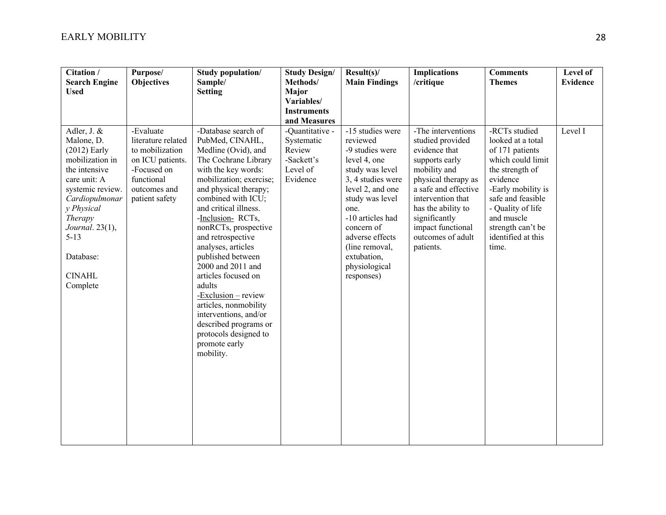| Citation /<br><b>Search Engine</b><br><b>Used</b>                                                                                                                                                                                       | Purpose/<br><b>Objectives</b>                                                                                                         | Study population/<br>Sample/<br><b>Setting</b>                                                                                                                                                                                                                                                                                                                                                                                                                                                                                               | <b>Study Design/</b><br>Methods/<br>Major<br>Variables/<br><b>Instruments</b><br>and Measures | Result(s)<br><b>Main Findings</b>                                                                                                                                                                                                                                           | <b>Implications</b><br>/critique                                                                                                                                                                                                                            | <b>Comments</b><br><b>Themes</b>                                                                                                                                                                                                            | Level of<br><b>Evidence</b> |
|-----------------------------------------------------------------------------------------------------------------------------------------------------------------------------------------------------------------------------------------|---------------------------------------------------------------------------------------------------------------------------------------|----------------------------------------------------------------------------------------------------------------------------------------------------------------------------------------------------------------------------------------------------------------------------------------------------------------------------------------------------------------------------------------------------------------------------------------------------------------------------------------------------------------------------------------------|-----------------------------------------------------------------------------------------------|-----------------------------------------------------------------------------------------------------------------------------------------------------------------------------------------------------------------------------------------------------------------------------|-------------------------------------------------------------------------------------------------------------------------------------------------------------------------------------------------------------------------------------------------------------|---------------------------------------------------------------------------------------------------------------------------------------------------------------------------------------------------------------------------------------------|-----------------------------|
| Adler, J. &<br>Malone, D.<br>$(2012)$ Early<br>mobilization in<br>the intensive<br>care unit: A<br>systemic review.<br>Cardiopulmonar<br>y Physical<br>Therapy<br>Journal. 23(1),<br>$5 - 13$<br>Database:<br><b>CINAHL</b><br>Complete | -Evaluate<br>literature related<br>to mobilization<br>on ICU patients.<br>-Focused on<br>functional<br>outcomes and<br>patient safety | -Database search of<br>PubMed, CINAHL,<br>Medline (Ovid), and<br>The Cochrane Library<br>with the key words:<br>mobilization; exercise;<br>and physical therapy;<br>combined with ICU;<br>and critical illness.<br>-Inclusion-RCTs,<br>nonRCTs, prospective<br>and retrospective<br>analyses, articles<br>published between<br>2000 and 2011 and<br>articles focused on<br>adults<br>$-Exclusion - review$<br>articles, nonmobility<br>interventions, and/or<br>described programs or<br>protocols designed to<br>promote early<br>mobility. | -Quantitative -<br>Systematic<br>Review<br>-Sackett's<br>Level of<br>Evidence                 | -15 studies were<br>reviewed<br>-9 studies were<br>level 4, one<br>study was level<br>3, 4 studies were<br>level 2, and one<br>study was level<br>one.<br>-10 articles had<br>concern of<br>adverse effects<br>(line removal,<br>extubation,<br>physiological<br>responses) | -The interventions<br>studied provided<br>evidence that<br>supports early<br>mobility and<br>physical therapy as<br>a safe and effective<br>intervention that<br>has the ability to<br>significantly<br>impact functional<br>outcomes of adult<br>patients. | -RCTs studied<br>looked at a total<br>of 171 patients<br>which could limit<br>the strength of<br>evidence<br>-Early mobility is<br>safe and feasible<br>- Quality of life<br>and muscle<br>strength can't be<br>identified at this<br>time. | Level I                     |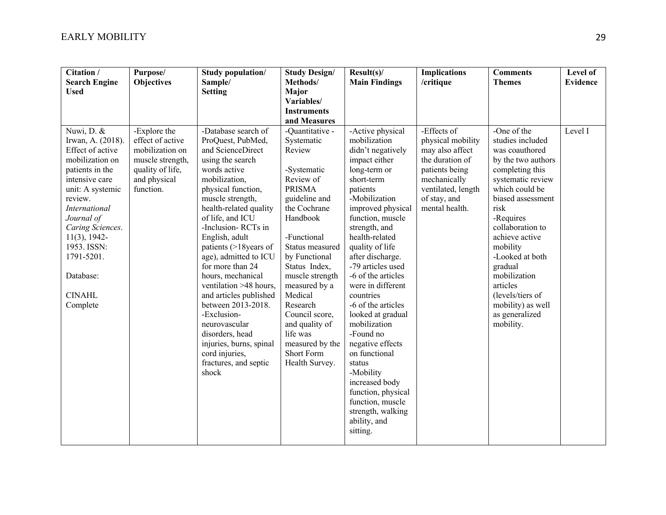| Citation /<br><b>Search Engine</b><br><b>Used</b>                                                                                                                                                                                                                                              | Purpose/<br><b>Objectives</b>                                                                                            | Study population/<br>Sample/<br><b>Setting</b>                                                                                                                                                                                                                                                                                                                                                                                                                                                                                                            | <b>Study Design/</b><br>Methods/<br>Major<br>Variables/                                                                                                                                                                                                                                                                                                             | Result(s)/<br><b>Main Findings</b>                                                                                                                                                                                                                                                                                                                                                                                                                                                                                                                                                 | <b>Implications</b><br>/critique                                                                                                                                 | <b>Comments</b><br><b>Themes</b>                                                                                                                                                                                                                                                                                                                                | Level of<br><b>Evidence</b> |
|------------------------------------------------------------------------------------------------------------------------------------------------------------------------------------------------------------------------------------------------------------------------------------------------|--------------------------------------------------------------------------------------------------------------------------|-----------------------------------------------------------------------------------------------------------------------------------------------------------------------------------------------------------------------------------------------------------------------------------------------------------------------------------------------------------------------------------------------------------------------------------------------------------------------------------------------------------------------------------------------------------|---------------------------------------------------------------------------------------------------------------------------------------------------------------------------------------------------------------------------------------------------------------------------------------------------------------------------------------------------------------------|------------------------------------------------------------------------------------------------------------------------------------------------------------------------------------------------------------------------------------------------------------------------------------------------------------------------------------------------------------------------------------------------------------------------------------------------------------------------------------------------------------------------------------------------------------------------------------|------------------------------------------------------------------------------------------------------------------------------------------------------------------|-----------------------------------------------------------------------------------------------------------------------------------------------------------------------------------------------------------------------------------------------------------------------------------------------------------------------------------------------------------------|-----------------------------|
|                                                                                                                                                                                                                                                                                                |                                                                                                                          |                                                                                                                                                                                                                                                                                                                                                                                                                                                                                                                                                           | <b>Instruments</b><br>and Measures                                                                                                                                                                                                                                                                                                                                  |                                                                                                                                                                                                                                                                                                                                                                                                                                                                                                                                                                                    |                                                                                                                                                                  |                                                                                                                                                                                                                                                                                                                                                                 |                             |
| Nuwi, D. &<br>Irwan, A. (2018).<br>Effect of active<br>mobilization on<br>patients in the<br>intensive care<br>unit: A systemic<br>review.<br><b>International</b><br>Journal of<br>Caring Sciences.<br>$11(3)$ , 1942-<br>1953. ISSN:<br>1791-5201.<br>Database:<br><b>CINAHL</b><br>Complete | -Explore the<br>effect of active<br>mobilization on<br>muscle strength,<br>quality of life,<br>and physical<br>function. | -Database search of<br>ProQuest, PubMed,<br>and ScienceDirect<br>using the search<br>words active<br>mobilization,<br>physical function,<br>muscle strength,<br>health-related quality<br>of life, and ICU<br>-Inclusion-RCTs in<br>English, adult<br>patients (>18years of<br>age), admitted to ICU<br>for more than 24<br>hours, mechanical<br>ventilation >48 hours,<br>and articles published<br>between 2013-2018.<br>-Exclusion-<br>neurovascular<br>disorders, head<br>injuries, burns, spinal<br>cord injuries,<br>fractures, and septic<br>shock | -Quantitative -<br>Systematic<br>Review<br>-Systematic<br>Review of<br><b>PRISMA</b><br>guideline and<br>the Cochrane<br>Handbook<br>-Functional<br>Status measured<br>by Functional<br>Status Index,<br>muscle strength<br>measured by a<br>Medical<br>Research<br>Council score,<br>and quality of<br>life was<br>measured by the<br>Short Form<br>Health Survey. | -Active physical<br>mobilization<br>didn't negatively<br>impact either<br>long-term or<br>short-term<br>patients<br>-Mobilization<br>improved physical<br>function, muscle<br>strength, and<br>health-related<br>quality of life<br>after discharge.<br>-79 articles used<br>-6 of the articles<br>were in different<br>countries<br>-6 of the articles<br>looked at gradual<br>mobilization<br>-Found no<br>negative effects<br>on functional<br>status<br>-Mobility<br>increased body<br>function, physical<br>function, muscle<br>strength, walking<br>ability, and<br>sitting. | -Effects of<br>physical mobility<br>may also affect<br>the duration of<br>patients being<br>mechanically<br>ventilated, length<br>of stay, and<br>mental health. | -One of the<br>studies included<br>was coauthored<br>by the two authors<br>completing this<br>systematic review<br>which could be<br>biased assessment<br>risk<br>-Requires<br>collaboration to<br>achieve active<br>mobility<br>-Looked at both<br>gradual<br>mobilization<br>articles<br>(levels/tiers of<br>mobility) as well<br>as generalized<br>mobility. | Level I                     |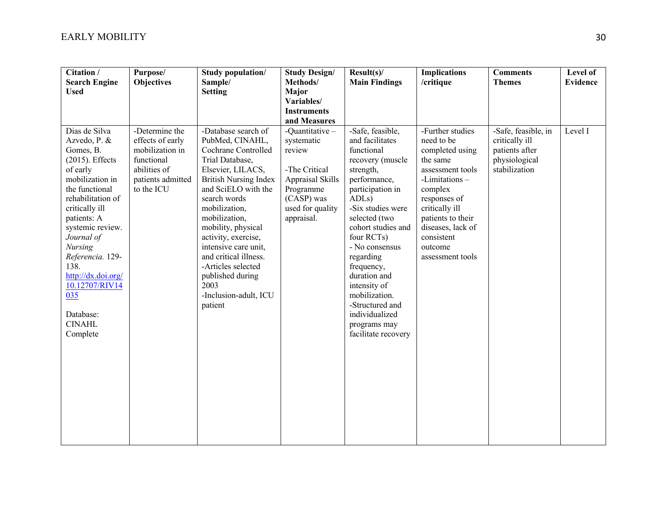| Citation /<br><b>Search Engine</b><br><b>Used</b>                                                                                                                                                                                                                                                                                                | Purpose/<br><b>Objectives</b>                                                                                          | Study population/<br>Sample/<br><b>Setting</b>                                                                                                                                                                                                                                                                                                                                                     | <b>Study Design/</b><br>Methods/<br>Major<br>Variables/<br><b>Instruments</b>                                                                                   | $Result(s)$ /<br><b>Main Findings</b>                                                                                                                                                                                                                                                                                                                                                            | <b>Implications</b><br>/critique                                                                                                                                                                                                       | <b>Comments</b><br><b>Themes</b>                                                          | Level of<br><b>Evidence</b> |
|--------------------------------------------------------------------------------------------------------------------------------------------------------------------------------------------------------------------------------------------------------------------------------------------------------------------------------------------------|------------------------------------------------------------------------------------------------------------------------|----------------------------------------------------------------------------------------------------------------------------------------------------------------------------------------------------------------------------------------------------------------------------------------------------------------------------------------------------------------------------------------------------|-----------------------------------------------------------------------------------------------------------------------------------------------------------------|--------------------------------------------------------------------------------------------------------------------------------------------------------------------------------------------------------------------------------------------------------------------------------------------------------------------------------------------------------------------------------------------------|----------------------------------------------------------------------------------------------------------------------------------------------------------------------------------------------------------------------------------------|-------------------------------------------------------------------------------------------|-----------------------------|
| Dias de Silva<br>Azvedo, P. &<br>Gomes, B.<br>$(2015)$ . Effects<br>of early<br>mobilization in<br>the functional<br>rehabilitation of<br>critically ill<br>patients: A<br>systemic review.<br>Journal of<br><b>Nursing</b><br>Referencia. 129-<br>138.<br>http://dx.doi.org/<br>10.12707/RIV14<br>035<br>Database:<br><b>CINAHL</b><br>Complete | -Determine the<br>effects of early<br>mobilization in<br>functional<br>abilities of<br>patients admitted<br>to the ICU | -Database search of<br>PubMed, CINAHL,<br>Cochrane Controlled<br>Trial Database,<br>Elsevier, LILACS,<br><b>British Nursing Index</b><br>and SciELO with the<br>search words<br>mobilization,<br>mobilization,<br>mobility, physical<br>activity, exercise,<br>intensive care unit,<br>and critical illness.<br>-Articles selected<br>published during<br>2003<br>-Inclusion-adult, ICU<br>patient | and Measures<br>-Quantitative-<br>systematic<br>review<br>-The Critical<br><b>Appraisal Skills</b><br>Programme<br>(CASP) was<br>used for quality<br>appraisal. | -Safe, feasible,<br>and facilitates<br>functional<br>recovery (muscle<br>strength,<br>performance,<br>participation in<br>ADL <sub>s</sub> )<br>-Six studies were<br>selected (two<br>cohort studies and<br>four RCTs)<br>- No consensus<br>regarding<br>frequency,<br>duration and<br>intensity of<br>mobilization.<br>-Structured and<br>individualized<br>programs may<br>facilitate recovery | -Further studies<br>need to be<br>completed using<br>the same<br>assessment tools<br>-Limitations-<br>complex<br>responses of<br>critically ill<br>patients to their<br>diseases, lack of<br>consistent<br>outcome<br>assessment tools | -Safe, feasible, in<br>critically ill<br>patients after<br>physiological<br>stabilization | Level I                     |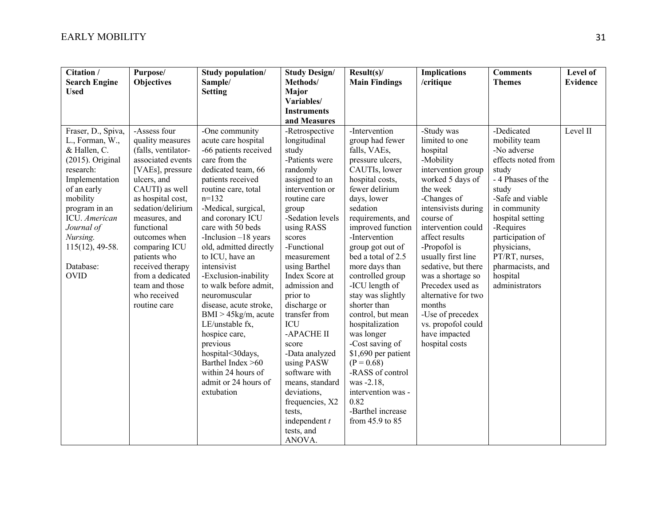| Citation /<br><b>Search Engine</b><br><b>Used</b>                                                                                                                                                                                                    | Purpose/<br><b>Objectives</b>                                                                                                                                                                                                                                                                                                                          | Study population/<br>Sample/<br><b>Setting</b>                                                                                                                                                                                                                                                                                                                                                                                                                                                                                                                                                | <b>Study Design/</b><br>Methods/<br>Major<br>Variables/<br><b>Instruments</b><br>and Measures                                                                                                                                                                                                                                                                                                                                                                                                           | Result(s)<br><b>Main Findings</b>                                                                                                                                                                                                                                                                                                                                                                                                                                                                                                                                               | <b>Implications</b><br>/critique                                                                                                                                                                                                                                                                                                                                                                                           | <b>Comments</b><br><b>Themes</b>                                                                                                                                                                                                                                                    | Level of<br><b>Evidence</b> |
|------------------------------------------------------------------------------------------------------------------------------------------------------------------------------------------------------------------------------------------------------|--------------------------------------------------------------------------------------------------------------------------------------------------------------------------------------------------------------------------------------------------------------------------------------------------------------------------------------------------------|-----------------------------------------------------------------------------------------------------------------------------------------------------------------------------------------------------------------------------------------------------------------------------------------------------------------------------------------------------------------------------------------------------------------------------------------------------------------------------------------------------------------------------------------------------------------------------------------------|---------------------------------------------------------------------------------------------------------------------------------------------------------------------------------------------------------------------------------------------------------------------------------------------------------------------------------------------------------------------------------------------------------------------------------------------------------------------------------------------------------|---------------------------------------------------------------------------------------------------------------------------------------------------------------------------------------------------------------------------------------------------------------------------------------------------------------------------------------------------------------------------------------------------------------------------------------------------------------------------------------------------------------------------------------------------------------------------------|----------------------------------------------------------------------------------------------------------------------------------------------------------------------------------------------------------------------------------------------------------------------------------------------------------------------------------------------------------------------------------------------------------------------------|-------------------------------------------------------------------------------------------------------------------------------------------------------------------------------------------------------------------------------------------------------------------------------------|-----------------------------|
| Fraser, D., Spiva,<br>L., Forman, W.,<br>& Hallen, C.<br>$(2015)$ . Original<br>research:<br>Implementation<br>of an early<br>mobility<br>program in an<br>ICU. American<br>Journal of<br>Nursing.<br>$115(12)$ , 49-58.<br>Database:<br><b>OVID</b> | -Assess four<br>quality measures<br>(falls, ventilator-<br>associated events<br>[VAEs], pressure<br>ulcers, and<br>CAUTI) as well<br>as hospital cost,<br>sedation/delirium<br>measures, and<br>functional<br>outcomes when<br>comparing ICU<br>patients who<br>received therapy<br>from a dedicated<br>team and those<br>who received<br>routine care | -One community<br>acute care hospital<br>-66 patients received<br>care from the<br>dedicated team, 66<br>patients received<br>routine care, total<br>$n=132$<br>-Medical, surgical,<br>and coronary ICU<br>care with 50 beds<br>-Inclusion $-18$ years<br>old, admitted directly<br>to ICU, have an<br>intensivist<br>-Exclusion-inability<br>to walk before admit,<br>neuromuscular<br>disease, acute stroke,<br>$BMI > 45kg/m$ , acute<br>LE/unstable fx,<br>hospice care,<br>previous<br>hospital<30days,<br>Barthel Index >60<br>within 24 hours of<br>admit or 24 hours of<br>extubation | -Retrospective<br>longitudinal<br>study<br>-Patients were<br>randomly<br>assigned to an<br>intervention or<br>routine care<br>group<br>-Sedation levels<br>using RASS<br>scores<br>-Functional<br>measurement<br>using Barthel<br>Index Score at<br>admission and<br>prior to<br>discharge or<br>transfer from<br>ICU<br>-APACHE II<br>score<br>-Data analyzed<br>using PASW<br>software with<br>means, standard<br>deviations,<br>frequencies, X2<br>tests,<br>independent $t$<br>tests, and<br>ANOVA. | -Intervention<br>group had fewer<br>falls, VAEs,<br>pressure ulcers,<br>CAUTIs, lower<br>hospital costs,<br>fewer delirium<br>days, lower<br>sedation<br>requirements, and<br>improved function<br>-Intervention<br>group got out of<br>bed a total of 2.5<br>more days than<br>controlled group<br>-ICU length of<br>stay was slightly<br>shorter than<br>control, but mean<br>hospitalization<br>was longer<br>-Cost saving of<br>\$1,690 per patient<br>$(P = 0.68)$<br>-RASS of control<br>was -2.18,<br>intervention was -<br>0.82<br>-Barthel increase<br>from 45.9 to 85 | -Study was<br>limited to one<br>hospital<br>-Mobility<br>intervention group<br>worked 5 days of<br>the week<br>-Changes of<br>intensivists during<br>course of<br>intervention could<br>affect results<br>-Propofol is<br>usually first line<br>sedative, but there<br>was a shortage so<br>Precedex used as<br>alternative for two<br>months<br>-Use of precedex<br>vs. propofol could<br>have impacted<br>hospital costs | -Dedicated<br>mobility team<br>-No adverse<br>effects noted from<br>study<br>- 4 Phases of the<br>study<br>-Safe and viable<br>in community<br>hospital setting<br>-Requires<br>participation of<br>physicians,<br>PT/RT, nurses,<br>pharmacists, and<br>hospital<br>administrators | Level II                    |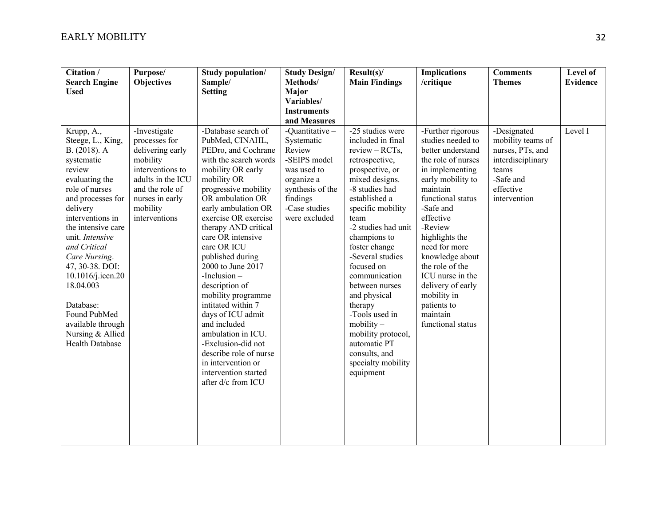| Citation /<br><b>Search Engine</b><br><b>Used</b>                                                                                                                                                                                                                                                                                                                                                | Purpose/<br><b>Objectives</b>                                                                                                                                             | Study population/<br>Sample/<br><b>Setting</b>                                                                                                                                                                                                                                                                                                                                                                                                                                                                                                                                            | <b>Study Design/</b><br>Methods/<br>Major                                                                                                             | Result(s)<br><b>Main Findings</b>                                                                                                                                                                                                                                                                                                                                                                                                                                     | <b>Implications</b><br>/critique                                                                                                                                                                                                                                                                                                                                                 | <b>Comments</b><br><b>Themes</b>                                                                                             | Level of<br><b>Evidence</b> |
|--------------------------------------------------------------------------------------------------------------------------------------------------------------------------------------------------------------------------------------------------------------------------------------------------------------------------------------------------------------------------------------------------|---------------------------------------------------------------------------------------------------------------------------------------------------------------------------|-------------------------------------------------------------------------------------------------------------------------------------------------------------------------------------------------------------------------------------------------------------------------------------------------------------------------------------------------------------------------------------------------------------------------------------------------------------------------------------------------------------------------------------------------------------------------------------------|-------------------------------------------------------------------------------------------------------------------------------------------------------|-----------------------------------------------------------------------------------------------------------------------------------------------------------------------------------------------------------------------------------------------------------------------------------------------------------------------------------------------------------------------------------------------------------------------------------------------------------------------|----------------------------------------------------------------------------------------------------------------------------------------------------------------------------------------------------------------------------------------------------------------------------------------------------------------------------------------------------------------------------------|------------------------------------------------------------------------------------------------------------------------------|-----------------------------|
|                                                                                                                                                                                                                                                                                                                                                                                                  |                                                                                                                                                                           |                                                                                                                                                                                                                                                                                                                                                                                                                                                                                                                                                                                           | Variables/<br><b>Instruments</b><br>and Measures                                                                                                      |                                                                                                                                                                                                                                                                                                                                                                                                                                                                       |                                                                                                                                                                                                                                                                                                                                                                                  |                                                                                                                              |                             |
| Krupp, A.,<br>Steege, L., King,<br>B. (2018). A<br>systematic<br>review<br>evaluating the<br>role of nurses<br>and processes for<br>delivery<br>interventions in<br>the intensive care<br>unit. Intensive<br>and Critical<br>Care Nursing.<br>47, 30-38. DOI:<br>10.1016/j.iccn.20<br>18.04.003<br>Database:<br>Found PubMed-<br>available through<br>Nursing & Allied<br><b>Health Database</b> | -Investigate<br>processes for<br>delivering early<br>mobility<br>interventions to<br>adults in the ICU<br>and the role of<br>nurses in early<br>mobility<br>interventions | -Database search of<br>PubMed, CINAHL,<br>PEDro, and Cochrane<br>with the search words<br>mobility OR early<br>mobility OR<br>progressive mobility<br>OR ambulation OR<br>early ambulation OR<br>exercise OR exercise<br>therapy AND critical<br>care OR intensive<br>care OR ICU<br>published during<br>2000 to June 2017<br>$-Inclusion -$<br>description of<br>mobility programme<br>intitated within 7<br>days of ICU admit<br>and included<br>ambulation in ICU.<br>-Exclusion-did not<br>describe role of nurse<br>in intervention or<br>intervention started<br>after d/c from ICU | -Quantitative-<br>Systematic<br>Review<br>-SEIPS model<br>was used to<br>organize a<br>synthesis of the<br>findings<br>-Case studies<br>were excluded | -25 studies were<br>included in final<br>$review - RCTs$ ,<br>retrospective,<br>prospective, or<br>mixed designs.<br>-8 studies had<br>established a<br>specific mobility<br>team<br>-2 studies had unit<br>champions to<br>foster change<br>-Several studies<br>focused on<br>communication<br>between nurses<br>and physical<br>therapy<br>-Tools used in<br>$mobility -$<br>mobility protocol,<br>automatic PT<br>consults, and<br>specialty mobility<br>equipment | -Further rigorous<br>studies needed to<br>better understand<br>the role of nurses<br>in implementing<br>early mobility to<br>maintain<br>functional status<br>-Safe and<br>effective<br>-Review<br>highlights the<br>need for more<br>knowledge about<br>the role of the<br>ICU nurse in the<br>delivery of early<br>mobility in<br>patients to<br>maintain<br>functional status | -Designated<br>mobility teams of<br>nurses, PTs, and<br>interdisciplinary<br>teams<br>-Safe and<br>effective<br>intervention | Level I                     |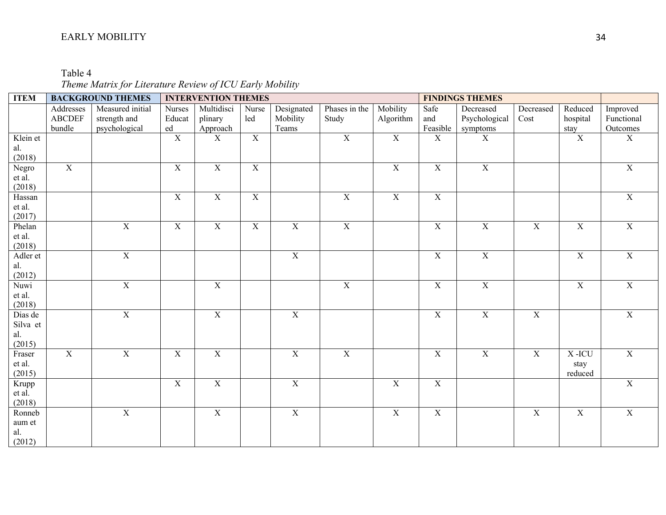Table 4 *Theme Matrix for Literature Review of ICU Early Mobility*

| Designated<br>Phases in the<br>Mobility<br>Addresses<br>Measured initial<br>Multidisci<br>Safe<br>Decreased<br>Reduced<br>Improved<br><b>Nurses</b><br>Nurse<br>Decreased<br><b>ABCDEF</b><br>strength and<br>plinary<br>Mobility<br>Study<br>Psychological<br>Functional<br>Educat<br>led<br>Algorithm<br>and<br>hospital<br>Cost<br>bundle<br>psychological<br>Feasible<br>ed<br>Approach<br>Teams<br>Outcomes<br>symptoms<br>stay<br>$\overline{X}$<br>$\overline{X}$<br>$\overline{X}$<br>$\overline{X}$<br>$\overline{X}$<br>$\overline{X}$<br>$\overline{X}$<br>Klein et<br>X<br>$\boldsymbol{X}$<br>al.<br>(2018)<br>$\overline{X}$<br>X<br>$\mathbf X$<br>$\mathbf X$<br>$\mathbf X$<br>$\mathbf X$<br>$\mathbf X$<br>Negro<br>$\mathbf X$<br>et al.<br>(2018)<br>$\overline{X}$<br>$\mathbf X$<br>$\mathbf X$<br>$\mathbf X$<br>$\mathbf X$<br>$\mathbf X$<br>$\boldsymbol{\mathrm{X}}$<br>Hassan<br>et al.<br>(2017)<br>$\overline{X}$<br>$\overline{X}$<br>$\overline{X}$<br>$\overline{X}$<br>$\overline{X}$<br>$\overline{X}$<br>$\overline{X}$<br>$\overline{X}$<br>$\overline{X}$<br>$\overline{X}$<br>$\overline{X}$<br>Phelan<br>et al.<br>(2018)<br>$\overline{X}$<br>$\overline{X}$<br>$\overline{X}$<br>$\overline{X}$<br>$\overline{X}$<br>$\mathbf X$<br>Adler et | <b>ITEM</b> | <b>BACKGROUND THEMES</b> | <b>INTERVENTION THEMES</b> |  |  | <b>FINDINGS THEMES</b> |  |  |
|-----------------------------------------------------------------------------------------------------------------------------------------------------------------------------------------------------------------------------------------------------------------------------------------------------------------------------------------------------------------------------------------------------------------------------------------------------------------------------------------------------------------------------------------------------------------------------------------------------------------------------------------------------------------------------------------------------------------------------------------------------------------------------------------------------------------------------------------------------------------------------------------------------------------------------------------------------------------------------------------------------------------------------------------------------------------------------------------------------------------------------------------------------------------------------------------------------------------------------------------------------------------------------------------|-------------|--------------------------|----------------------------|--|--|------------------------|--|--|
|                                                                                                                                                                                                                                                                                                                                                                                                                                                                                                                                                                                                                                                                                                                                                                                                                                                                                                                                                                                                                                                                                                                                                                                                                                                                                         |             |                          |                            |  |  |                        |  |  |
|                                                                                                                                                                                                                                                                                                                                                                                                                                                                                                                                                                                                                                                                                                                                                                                                                                                                                                                                                                                                                                                                                                                                                                                                                                                                                         |             |                          |                            |  |  |                        |  |  |
|                                                                                                                                                                                                                                                                                                                                                                                                                                                                                                                                                                                                                                                                                                                                                                                                                                                                                                                                                                                                                                                                                                                                                                                                                                                                                         |             |                          |                            |  |  |                        |  |  |
|                                                                                                                                                                                                                                                                                                                                                                                                                                                                                                                                                                                                                                                                                                                                                                                                                                                                                                                                                                                                                                                                                                                                                                                                                                                                                         |             |                          |                            |  |  |                        |  |  |
|                                                                                                                                                                                                                                                                                                                                                                                                                                                                                                                                                                                                                                                                                                                                                                                                                                                                                                                                                                                                                                                                                                                                                                                                                                                                                         |             |                          |                            |  |  |                        |  |  |
|                                                                                                                                                                                                                                                                                                                                                                                                                                                                                                                                                                                                                                                                                                                                                                                                                                                                                                                                                                                                                                                                                                                                                                                                                                                                                         |             |                          |                            |  |  |                        |  |  |
|                                                                                                                                                                                                                                                                                                                                                                                                                                                                                                                                                                                                                                                                                                                                                                                                                                                                                                                                                                                                                                                                                                                                                                                                                                                                                         |             |                          |                            |  |  |                        |  |  |
|                                                                                                                                                                                                                                                                                                                                                                                                                                                                                                                                                                                                                                                                                                                                                                                                                                                                                                                                                                                                                                                                                                                                                                                                                                                                                         |             |                          |                            |  |  |                        |  |  |
|                                                                                                                                                                                                                                                                                                                                                                                                                                                                                                                                                                                                                                                                                                                                                                                                                                                                                                                                                                                                                                                                                                                                                                                                                                                                                         |             |                          |                            |  |  |                        |  |  |
|                                                                                                                                                                                                                                                                                                                                                                                                                                                                                                                                                                                                                                                                                                                                                                                                                                                                                                                                                                                                                                                                                                                                                                                                                                                                                         |             |                          |                            |  |  |                        |  |  |
|                                                                                                                                                                                                                                                                                                                                                                                                                                                                                                                                                                                                                                                                                                                                                                                                                                                                                                                                                                                                                                                                                                                                                                                                                                                                                         |             |                          |                            |  |  |                        |  |  |
|                                                                                                                                                                                                                                                                                                                                                                                                                                                                                                                                                                                                                                                                                                                                                                                                                                                                                                                                                                                                                                                                                                                                                                                                                                                                                         |             |                          |                            |  |  |                        |  |  |
|                                                                                                                                                                                                                                                                                                                                                                                                                                                                                                                                                                                                                                                                                                                                                                                                                                                                                                                                                                                                                                                                                                                                                                                                                                                                                         |             |                          |                            |  |  |                        |  |  |
|                                                                                                                                                                                                                                                                                                                                                                                                                                                                                                                                                                                                                                                                                                                                                                                                                                                                                                                                                                                                                                                                                                                                                                                                                                                                                         |             |                          |                            |  |  |                        |  |  |
|                                                                                                                                                                                                                                                                                                                                                                                                                                                                                                                                                                                                                                                                                                                                                                                                                                                                                                                                                                                                                                                                                                                                                                                                                                                                                         |             |                          |                            |  |  |                        |  |  |
|                                                                                                                                                                                                                                                                                                                                                                                                                                                                                                                                                                                                                                                                                                                                                                                                                                                                                                                                                                                                                                                                                                                                                                                                                                                                                         |             |                          |                            |  |  |                        |  |  |
| al.                                                                                                                                                                                                                                                                                                                                                                                                                                                                                                                                                                                                                                                                                                                                                                                                                                                                                                                                                                                                                                                                                                                                                                                                                                                                                     |             |                          |                            |  |  |                        |  |  |
| (2012)                                                                                                                                                                                                                                                                                                                                                                                                                                                                                                                                                                                                                                                                                                                                                                                                                                                                                                                                                                                                                                                                                                                                                                                                                                                                                  |             |                          |                            |  |  |                        |  |  |
| $\overline{X}$<br>$\overline{X}$<br>$\overline{X}$<br>$\overline{X}$<br>$\overline{X}$<br>$\overline{\textbf{X}}$<br>$\overline{X}$<br>Nuwi                                                                                                                                                                                                                                                                                                                                                                                                                                                                                                                                                                                                                                                                                                                                                                                                                                                                                                                                                                                                                                                                                                                                             |             |                          |                            |  |  |                        |  |  |
| et al.                                                                                                                                                                                                                                                                                                                                                                                                                                                                                                                                                                                                                                                                                                                                                                                                                                                                                                                                                                                                                                                                                                                                                                                                                                                                                  |             |                          |                            |  |  |                        |  |  |
| (2018)                                                                                                                                                                                                                                                                                                                                                                                                                                                                                                                                                                                                                                                                                                                                                                                                                                                                                                                                                                                                                                                                                                                                                                                                                                                                                  |             |                          |                            |  |  |                        |  |  |
| $\overline{X}$<br>$\overline{X}$<br>$\overline{X}$<br>$\overline{X}$<br>$\overline{X}$<br>$\overline{X}$<br>$\overline{X}$<br>Dias de                                                                                                                                                                                                                                                                                                                                                                                                                                                                                                                                                                                                                                                                                                                                                                                                                                                                                                                                                                                                                                                                                                                                                   |             |                          |                            |  |  |                        |  |  |
| Silva et                                                                                                                                                                                                                                                                                                                                                                                                                                                                                                                                                                                                                                                                                                                                                                                                                                                                                                                                                                                                                                                                                                                                                                                                                                                                                |             |                          |                            |  |  |                        |  |  |
| al.                                                                                                                                                                                                                                                                                                                                                                                                                                                                                                                                                                                                                                                                                                                                                                                                                                                                                                                                                                                                                                                                                                                                                                                                                                                                                     |             |                          |                            |  |  |                        |  |  |
| (2015)                                                                                                                                                                                                                                                                                                                                                                                                                                                                                                                                                                                                                                                                                                                                                                                                                                                                                                                                                                                                                                                                                                                                                                                                                                                                                  |             |                          |                            |  |  |                        |  |  |
| $\overline{X}$<br>$\overline{\mathbf{X}}$<br>$\overline{X}$<br>$\overline{\textbf{X}}$<br>$\overline{X}$<br>$\overline{X}$<br>$\overline{X}$<br>$\overline{\mathbf{X}}$<br>$\overline{X}$<br>$\mathbf X$<br>X-ICU<br>Fraser                                                                                                                                                                                                                                                                                                                                                                                                                                                                                                                                                                                                                                                                                                                                                                                                                                                                                                                                                                                                                                                             |             |                          |                            |  |  |                        |  |  |
| et al.<br>stay<br>(2015)<br>reduced                                                                                                                                                                                                                                                                                                                                                                                                                                                                                                                                                                                                                                                                                                                                                                                                                                                                                                                                                                                                                                                                                                                                                                                                                                                     |             |                          |                            |  |  |                        |  |  |
| $\overline{X}$<br>$\overline{\textbf{X}}$<br>$\overline{X}$<br>$\overline{X}$<br>$\overline{X}$<br>$\overline{X}$                                                                                                                                                                                                                                                                                                                                                                                                                                                                                                                                                                                                                                                                                                                                                                                                                                                                                                                                                                                                                                                                                                                                                                       |             |                          |                            |  |  |                        |  |  |
| Krupp<br>et al.                                                                                                                                                                                                                                                                                                                                                                                                                                                                                                                                                                                                                                                                                                                                                                                                                                                                                                                                                                                                                                                                                                                                                                                                                                                                         |             |                          |                            |  |  |                        |  |  |
| (2018)                                                                                                                                                                                                                                                                                                                                                                                                                                                                                                                                                                                                                                                                                                                                                                                                                                                                                                                                                                                                                                                                                                                                                                                                                                                                                  |             |                          |                            |  |  |                        |  |  |
| $\overline{X}$<br>$\overline{X}$<br>$\overline{X}$<br>$\overline{X}$<br>$\overline{X}$<br>$\overline{X}$<br>$\overline{X}$<br>$\overline{X}$<br>Ronneb                                                                                                                                                                                                                                                                                                                                                                                                                                                                                                                                                                                                                                                                                                                                                                                                                                                                                                                                                                                                                                                                                                                                  |             |                          |                            |  |  |                        |  |  |
|                                                                                                                                                                                                                                                                                                                                                                                                                                                                                                                                                                                                                                                                                                                                                                                                                                                                                                                                                                                                                                                                                                                                                                                                                                                                                         |             |                          |                            |  |  |                        |  |  |
| aum et<br>al.                                                                                                                                                                                                                                                                                                                                                                                                                                                                                                                                                                                                                                                                                                                                                                                                                                                                                                                                                                                                                                                                                                                                                                                                                                                                           |             |                          |                            |  |  |                        |  |  |
| (2012)                                                                                                                                                                                                                                                                                                                                                                                                                                                                                                                                                                                                                                                                                                                                                                                                                                                                                                                                                                                                                                                                                                                                                                                                                                                                                  |             |                          |                            |  |  |                        |  |  |